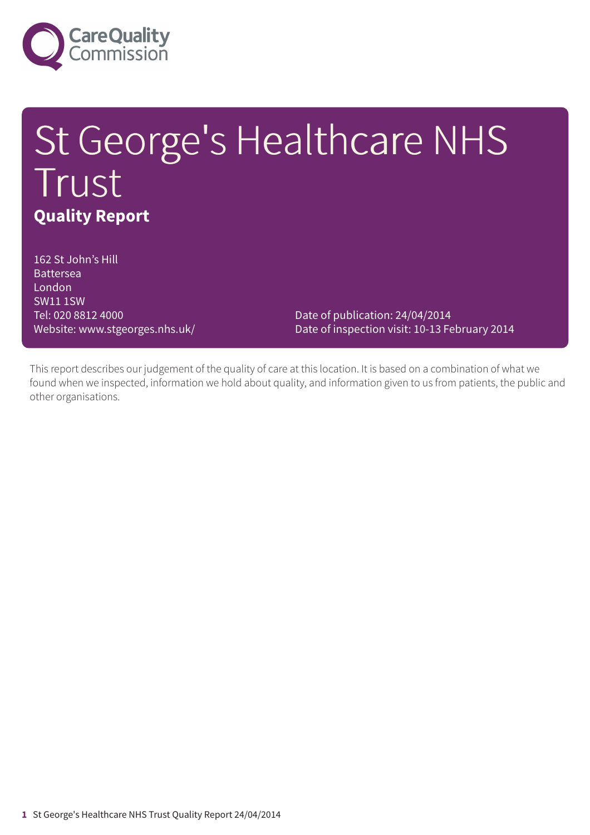

# St George's Healthcare NHS Trust **Quality Report**

162 St John's Hill Battersea London SW11 1SW Tel: 020 8812 4000

Website: www.stgeorges.nhs.uk/ Date of inspection visit: 10-13 February 2014 Date of publication: 24/04/2014

This report describes our judgement of the quality of care at this location. It is based on a combination of what we found when we inspected, information we hold about quality, and information given to us from patients, the public and other organisations.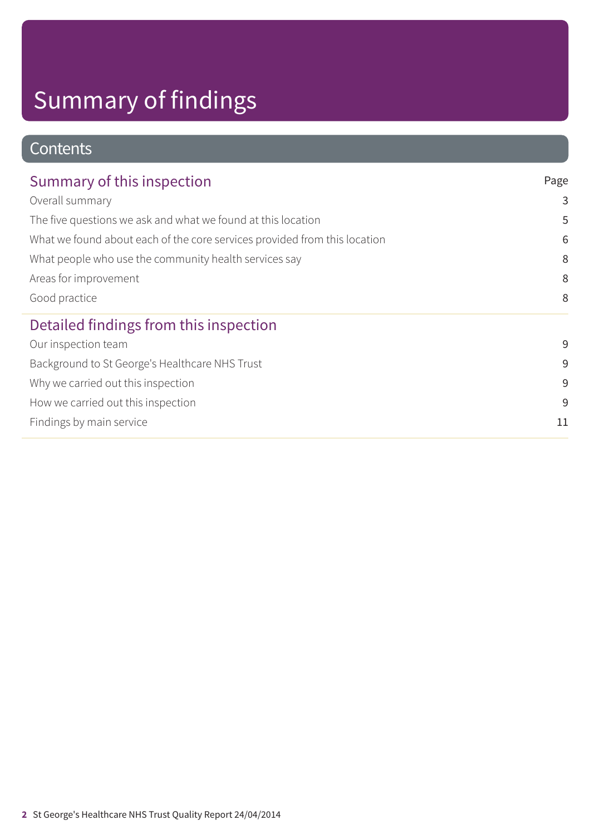# Summary of findings

### **Contents**

| Summary of this inspection<br>Overall summary<br>The five questions we ask and what we found at this location<br>What we found about each of the core services provided from this location<br>What people who use the community health services say<br>Areas for improvement<br>Good practice | Page<br>3<br>5<br>6<br>8<br>8<br>8 |                                                |    |
|-----------------------------------------------------------------------------------------------------------------------------------------------------------------------------------------------------------------------------------------------------------------------------------------------|------------------------------------|------------------------------------------------|----|
|                                                                                                                                                                                                                                                                                               |                                    | Detailed findings from this inspection         |    |
|                                                                                                                                                                                                                                                                                               |                                    | Our inspection team                            | 9  |
|                                                                                                                                                                                                                                                                                               |                                    | Background to St George's Healthcare NHS Trust | 9  |
|                                                                                                                                                                                                                                                                                               |                                    | Why we carried out this inspection             | 9  |
|                                                                                                                                                                                                                                                                                               |                                    | How we carried out this inspection             | 9  |
|                                                                                                                                                                                                                                                                                               |                                    | Findings by main service                       | 11 |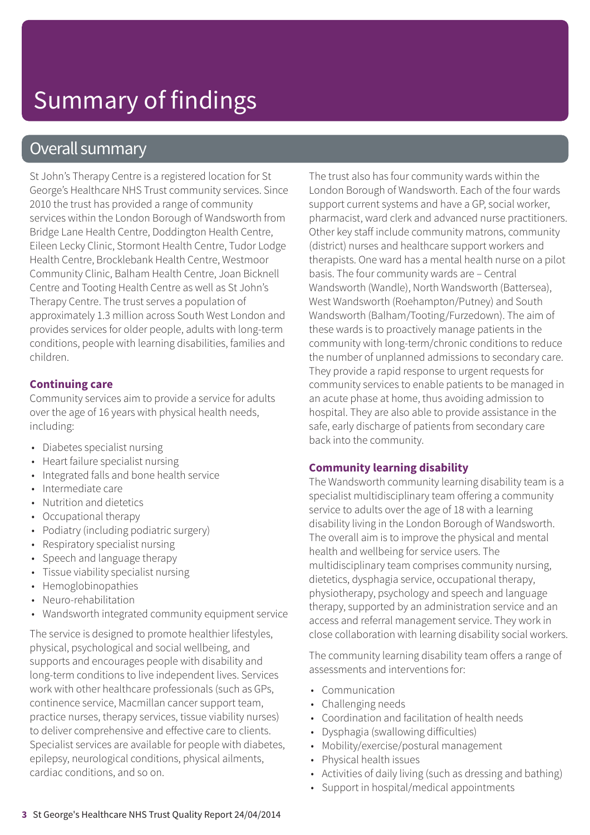### Overall summary

St John's Therapy Centre is a registered location for St George's Healthcare NHS Trust community services. Since 2010 the trust has provided a range of community services within the London Borough of Wandsworth from Bridge Lane Health Centre, Doddington Health Centre, Eileen Lecky Clinic, Stormont Health Centre, Tudor Lodge Health Centre, Brocklebank Health Centre, Westmoor Community Clinic, Balham Health Centre, Joan Bicknell Centre and Tooting Health Centre as well as St John's Therapy Centre. The trust serves a population of approximately 1.3 million across South West London and provides services for older people, adults with long-term conditions, people with learning disabilities, families and children.

#### **Continuing care**

Community services aim to provide a service for adults over the age of 16 years with physical health needs, including:

- Diabetes specialist nursing
- Heart failure specialist nursing
- Integrated falls and bone health service
- Intermediate care
- Nutrition and dietetics
- Occupational therapy
- Podiatry (including podiatric surgery)
- Respiratory specialist nursing
- Speech and language therapy
- Tissue viability specialist nursing
- Hemoglobinopathies
- Neuro-rehabilitation
- Wandsworth integrated community equipment service

The service is designed to promote healthier lifestyles, physical, psychological and social wellbeing, and supports and encourages people with disability and long-term conditions to live independent lives. Services work with other healthcare professionals (such as GPs, continence service, Macmillan cancer support team, practice nurses, therapy services, tissue viability nurses) to deliver comprehensive and effective care to clients. Specialist services are available for people with diabetes, epilepsy, neurological conditions, physical ailments, cardiac conditions, and so on.

The trust also has four community wards within the London Borough of Wandsworth. Each of the four wards support current systems and have a GP, social worker, pharmacist, ward clerk and advanced nurse practitioners. Other key staff include community matrons, community (district) nurses and healthcare support workers and therapists. One ward has a mental health nurse on a pilot basis. The four community wards are – Central Wandsworth (Wandle), North Wandsworth (Battersea), West Wandsworth (Roehampton/Putney) and South Wandsworth (Balham/Tooting/Furzedown). The aim of these wards is to proactively manage patients in the community with long-term/chronic conditions to reduce the number of unplanned admissions to secondary care. They provide a rapid response to urgent requests for community services to enable patients to be managed in an acute phase at home, thus avoiding admission to hospital. They are also able to provide assistance in the safe, early discharge of patients from secondary care back into the community.

#### **Community learning disability**

The Wandsworth community learning disability team is a specialist multidisciplinary team offering a community service to adults over the age of 18 with a learning disability living in the London Borough of Wandsworth. The overall aim is to improve the physical and mental health and wellbeing for service users. The multidisciplinary team comprises community nursing, dietetics, dysphagia service, occupational therapy, physiotherapy, psychology and speech and language therapy, supported by an administration service and an access and referral management service. They work in close collaboration with learning disability social workers.

The community learning disability team offers a range of assessments and interventions for:

- Communication
- Challenging needs
- Coordination and facilitation of health needs
- Dysphagia (swallowing difficulties)
- Mobility/exercise/postural management
- Physical health issues
- Activities of daily living (such as dressing and bathing)
- Support in hospital/medical appointments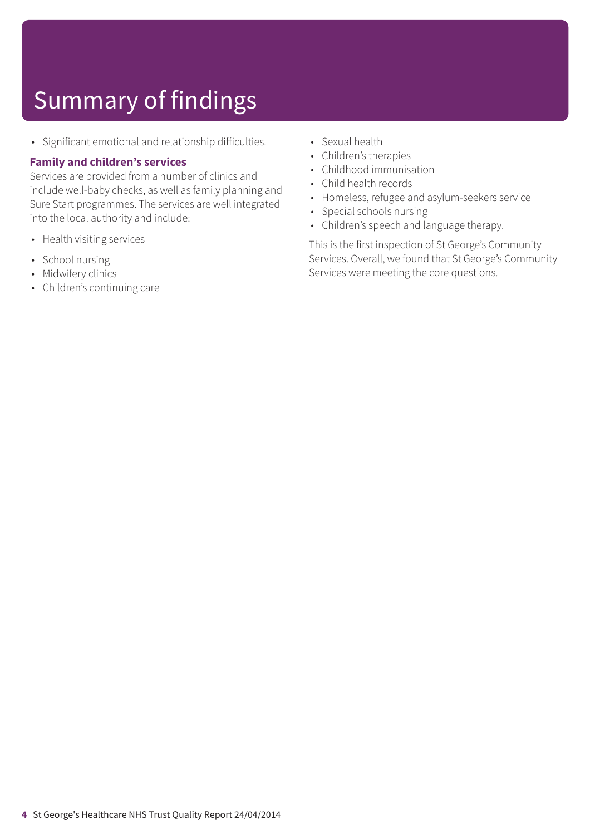## Summary of findings

• Significant emotional and relationship difficulties.

#### **Family and children's services**

Services are provided from a number of clinics and include well-baby checks, as well as family planning and Sure Start programmes. The services are well integrated into the local authority and include:

- Health visiting services
- School nursing
- Midwifery clinics
- Children's continuing care
- Sexual health
- Children's therapies
- Childhood immunisation
- Child health records
- Homeless, refugee and asylum-seekers service
- Special schools nursing
- Children's speech and language therapy.

This is the first inspection of St George's Community Services. Overall, we found that St George's Community Services were meeting the core questions.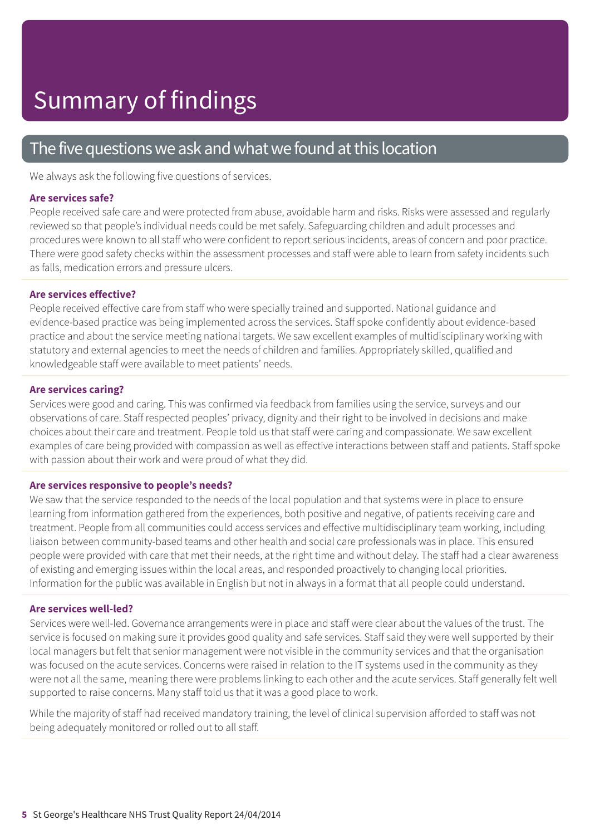### The five questions we ask and what we found at this location

We always ask the following five questions of services.

#### **Are services safe?**

People received safe care and were protected from abuse, avoidable harm and risks. Risks were assessed and regularly reviewed so that people's individual needs could be met safely. Safeguarding children and adult processes and procedures were known to all staff who were confident to report serious incidents, areas of concern and poor practice. There were good safety checks within the assessment processes and staff were able to learn from safety incidents such as falls, medication errors and pressure ulcers.

#### **Are services effective?**

People received effective care from staff who were specially trained and supported. National guidance and evidence-based practice was being implemented across the services. Staff spoke confidently about evidence-based practice and about the service meeting national targets. We saw excellent examples of multidisciplinary working with statutory and external agencies to meet the needs of children and families. Appropriately skilled, qualified and knowledgeable staff were available to meet patients' needs.

#### **Are services caring?**

Services were good and caring. This was confirmed via feedback from families using the service, surveys and our observations of care. Staff respected peoples' privacy, dignity and their right to be involved in decisions and make choices about their care and treatment. People told us that staff were caring and compassionate. We saw excellent examples of care being provided with compassion as well as effective interactions between staff and patients. Staff spoke with passion about their work and were proud of what they did.

#### **Are services responsive to people's needs?**

We saw that the service responded to the needs of the local population and that systems were in place to ensure learning from information gathered from the experiences, both positive and negative, of patients receiving care and treatment. People from all communities could access services and effective multidisciplinary team working, including liaison between community-based teams and other health and social care professionals was in place. This ensured people were provided with care that met their needs, at the right time and without delay. The staff had a clear awareness of existing and emerging issues within the local areas, and responded proactively to changing local priorities. Information for the public was available in English but not in always in a format that all people could understand.

#### **Are services well-led?**

Services were well-led. Governance arrangements were in place and staff were clear about the values of the trust. The service is focused on making sure it provides good quality and safe services. Staff said they were well supported by their local managers but felt that senior management were not visible in the community services and that the organisation was focused on the acute services. Concerns were raised in relation to the IT systems used in the community as they were not all the same, meaning there were problems linking to each other and the acute services. Staff generally felt well supported to raise concerns. Many staff told us that it was a good place to work.

While the majority of staff had received mandatory training, the level of clinical supervision afforded to staff was not being adequately monitored or rolled out to all staff.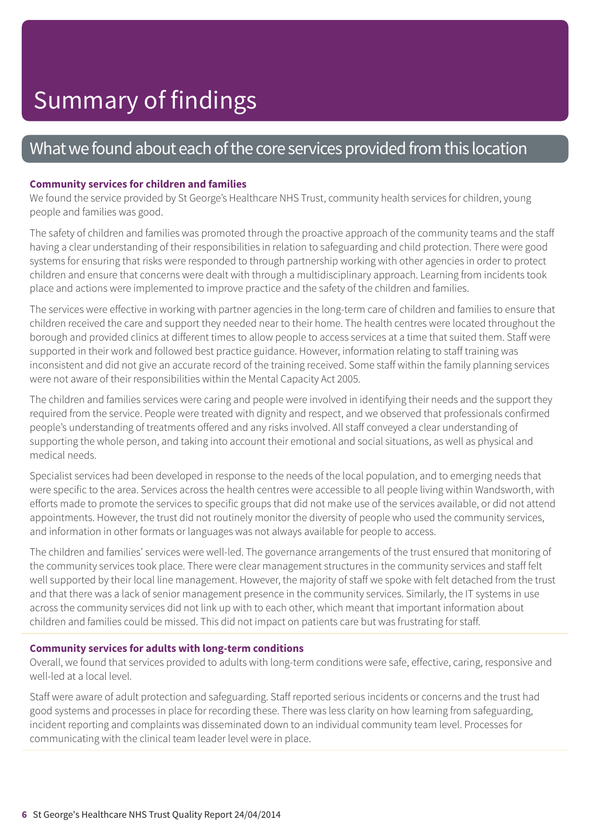### What we found about each of the core services provided from this location

#### **Community services for children and families**

We found the service provided by St George's Healthcare NHS Trust, community health services for children, young people and families was good.

The safety of children and families was promoted through the proactive approach of the community teams and the staff having a clear understanding of their responsibilities in relation to safeguarding and child protection. There were good systems for ensuring that risks were responded to through partnership working with other agencies in order to protect children and ensure that concerns were dealt with through a multidisciplinary approach. Learning from incidents took place and actions were implemented to improve practice and the safety of the children and families.

The services were effective in working with partner agencies in the long-term care of children and families to ensure that children received the care and support they needed near to their home. The health centres were located throughout the borough and provided clinics at different times to allow people to access services at a time that suited them. Staff were supported in their work and followed best practice guidance. However, information relating to staff training was inconsistent and did not give an accurate record of the training received. Some staff within the family planning services were not aware of their responsibilities within the Mental Capacity Act 2005.

The children and families services were caring and people were involved in identifying their needs and the support they required from the service. People were treated with dignity and respect, and we observed that professionals confirmed people's understanding of treatments offered and any risks involved. All staff conveyed a clear understanding of supporting the whole person, and taking into account their emotional and social situations, as well as physical and medical needs.

Specialist services had been developed in response to the needs of the local population, and to emerging needs that were specific to the area. Services across the health centres were accessible to all people living within Wandsworth, with efforts made to promote the services to specific groups that did not make use of the services available, or did not attend appointments. However, the trust did not routinely monitor the diversity of people who used the community services, and information in other formats or languages was not always available for people to access.

The children and families' services were well-led. The governance arrangements of the trust ensured that monitoring of the community services took place. There were clear management structures in the community services and staff felt well supported by their local line management. However, the majority of staff we spoke with felt detached from the trust and that there was a lack of senior management presence in the community services. Similarly, the IT systems in use across the community services did not link up with to each other, which meant that important information about children and families could be missed. This did not impact on patients care but was frustrating for staff.

#### **Community services for adults with long-term conditions**

Overall, we found that services provided to adults with long-term conditions were safe, effective, caring, responsive and well-led at a local level.

Staff were aware of adult protection and safeguarding. Staff reported serious incidents or concerns and the trust had good systems and processes in place for recording these. There was less clarity on how learning from safeguarding, incident reporting and complaints was disseminated down to an individual community team level. Processes for communicating with the clinical team leader level were in place.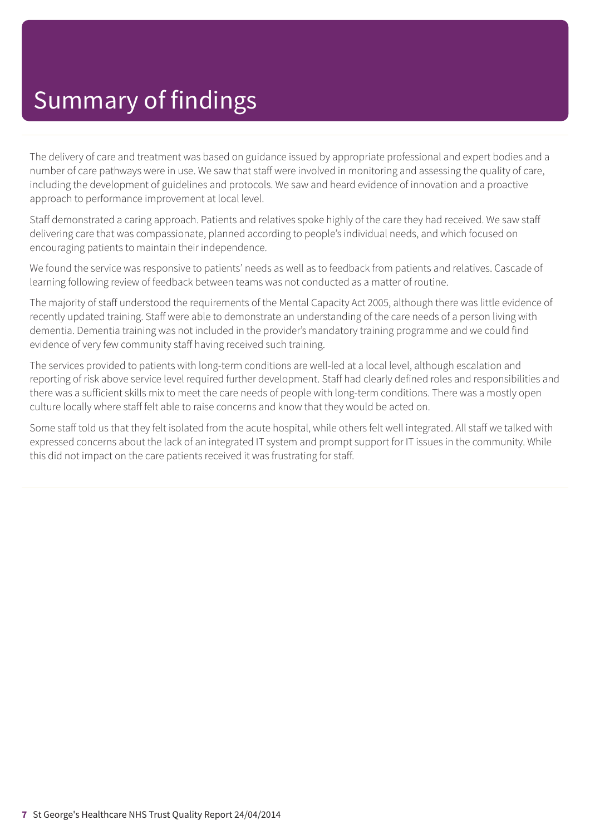The delivery of care and treatment was based on guidance issued by appropriate professional and expert bodies and a number of care pathways were in use. We saw that staff were involved in monitoring and assessing the quality of care, including the development of guidelines and protocols. We saw and heard evidence of innovation and a proactive approach to performance improvement at local level.

Staff demonstrated a caring approach. Patients and relatives spoke highly of the care they had received. We saw staff delivering care that was compassionate, planned according to people's individual needs, and which focused on encouraging patients to maintain their independence.

We found the service was responsive to patients' needs as well as to feedback from patients and relatives. Cascade of learning following review of feedback between teams was not conducted as a matter of routine.

The majority of staff understood the requirements of the Mental Capacity Act 2005, although there was little evidence of recently updated training. Staff were able to demonstrate an understanding of the care needs of a person living with dementia. Dementia training was not included in the provider's mandatory training programme and we could find evidence of very few community staff having received such training.

The services provided to patients with long-term conditions are well-led at a local level, although escalation and reporting of risk above service level required further development. Staff had clearly defined roles and responsibilities and there was a sufficient skills mix to meet the care needs of people with long-term conditions. There was a mostly open culture locally where staff felt able to raise concerns and know that they would be acted on.

Some staff told us that they felt isolated from the acute hospital, while others felt well integrated. All staff we talked with expressed concerns about the lack of an integrated IT system and prompt support for IT issues in the community. While this did not impact on the care patients received it was frustrating for staff.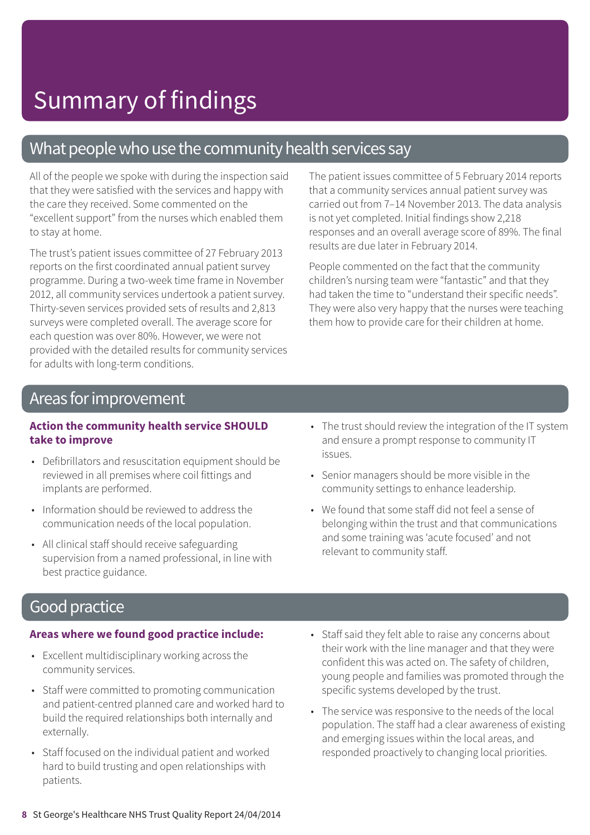### What people who use the community health services say

All of the people we spoke with during the inspection said that they were satisfied with the services and happy with the care they received. Some commented on the "excellent support" from the nurses which enabled them to stay at home.

The trust's patient issues committee of 27 February 2013 reports on the first coordinated annual patient survey programme. During a two-week time frame in November 2012, all community services undertook a patient survey. Thirty-seven services provided sets of results and 2,813 surveys were completed overall. The average score for each question was over 80%. However, we were not provided with the detailed results for community services for adults with long-term conditions.

The patient issues committee of 5 February 2014 reports that a community services annual patient survey was carried out from 7–14 November 2013. The data analysis is not yet completed. Initial findings show 2,218 responses and an overall average score of 89%. The final results are due later in February 2014.

People commented on the fact that the community children's nursing team were "fantastic" and that they had taken the time to "understand their specific needs". They were also very happy that the nurses were teaching them how to provide care for their children at home.

### Areas forimprovement

#### **Action the community health service SHOULD take to improve**

- Defibrillators and resuscitation equipment should be reviewed in all premises where coil fittings and implants are performed.
- Information should be reviewed to address the communication needs of the local population.
- All clinical staff should receive safeguarding supervision from a named professional, in line with best practice guidance.
- The trust should review the integration of the IT system and ensure a prompt response to community IT issues.
- Senior managers should be more visible in the community settings to enhance leadership.
- We found that some staff did not feel a sense of belonging within the trust and that communications and some training was 'acute focused' and not relevant to community staff.

### **Good practice**

#### **Areas where we found good practice include:**

- Excellent multidisciplinary working across the community services.
- Staff were committed to promoting communication and patient-centred planned care and worked hard to build the required relationships both internally and externally.
- Staff focused on the individual patient and worked hard to build trusting and open relationships with patients.
- Staff said they felt able to raise any concerns about their work with the line manager and that they were confident this was acted on. The safety of children, young people and families was promoted through the specific systems developed by the trust.
- The service was responsive to the needs of the local population. The staff had a clear awareness of existing and emerging issues within the local areas, and responded proactively to changing local priorities.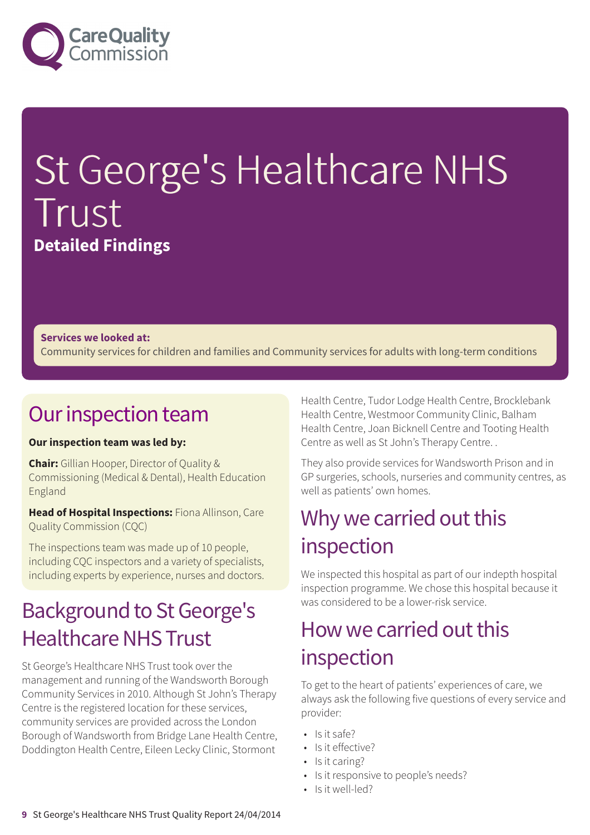

# St George's Healthcare NHS Trust **Detailed Findings**

#### **Services we looked at:**

Community services for children and families and Community services for adults with long-term conditions

### Our inspection team

#### **Our inspection team was led by:**

**Chair:** Gillian Hooper, Director of Quality & Commissioning (Medical & Dental), Health Education England

**Head of Hospital Inspections:** Fiona Allinson, Care Quality Commission (CQC)

The inspections team was made up of 10 people, including CQC inspectors and a variety of specialists, including experts by experience, nurses and doctors.

### **Background to St George's Healthcare NHS Trust**

St George's Healthcare NHS Trust took over the management and running of the Wandsworth Borough Community Services in 2010. Although St John's Therapy Centre is the registered location for these services, community services are provided across the London Borough of Wandsworth from Bridge Lane Health Centre, Doddington Health Centre, Eileen Lecky Clinic, Stormont

Health Centre, Tudor Lodge Health Centre, Brocklebank Health Centre, Westmoor Community Clinic, Balham Health Centre, Joan Bicknell Centre and Tooting Health Centre as well as St John's Therapy Centre. .

They also provide services for Wandsworth Prison and in GP surgeries, schools, nurseries and community centres, as well as patients' own homes.

### Why we carried out this inspection

We inspected this hospital as part of our indepth hospital inspection programme. We chose this hospital because it was considered to be a lower-risk service.

### How we carried out this inspection

To get to the heart of patients' experiences of care, we always ask the following five questions of every service and provider:

- $\cdot$  Is it safe?
- Is it effective?
- Is it caring?
- Is it responsive to people's needs?
- Is it well-led?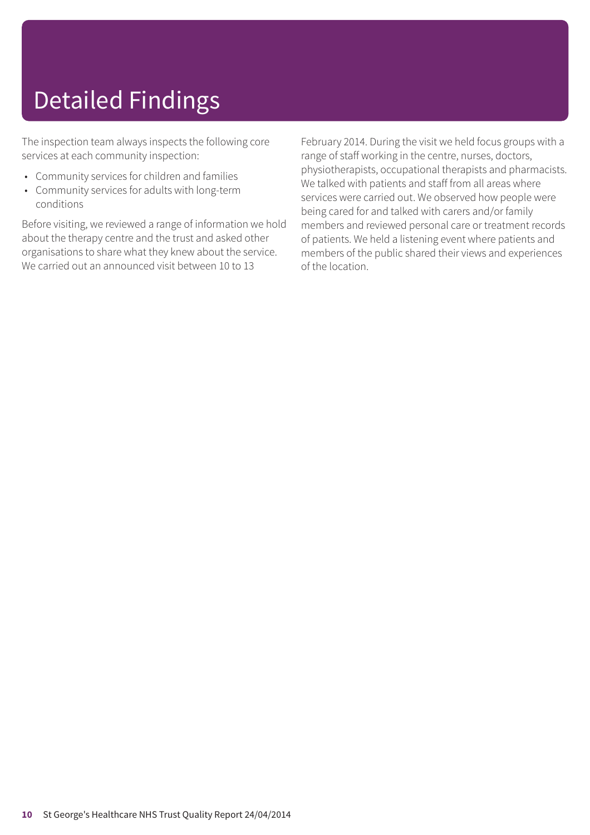## Detailed Findings

The inspection team always inspects the following core services at each community inspection:

- Community services for children and families
- Community services for adults with long-term conditions

Before visiting, we reviewed a range of information we hold about the therapy centre and the trust and asked other organisations to share what they knew about the service. We carried out an announced visit between 10 to 13

February 2014. During the visit we held focus groups with a range of staff working in the centre, nurses, doctors, physiotherapists, occupational therapists and pharmacists. We talked with patients and staff from all areas where services were carried out. We observed how people were being cared for and talked with carers and/or family members and reviewed personal care or treatment records of patients. We held a listening event where patients and members of the public shared their views and experiences of the location.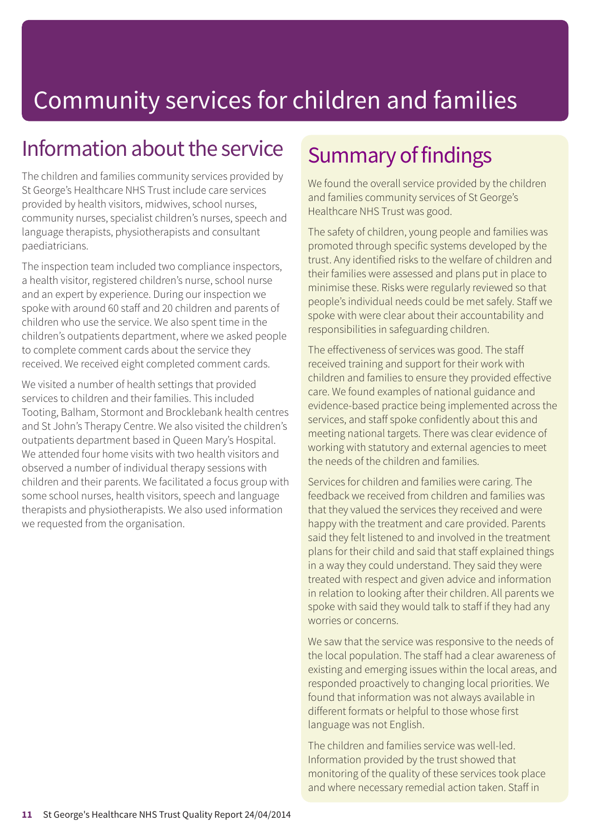### Information about the service

The children and families community services provided by St George's Healthcare NHS Trust include care services provided by health visitors, midwives, school nurses, community nurses, specialist children's nurses, speech and language therapists, physiotherapists and consultant paediatricians.

The inspection team included two compliance inspectors, a health visitor, registered children's nurse, school nurse and an expert by experience. During our inspection we spoke with around 60 staff and 20 children and parents of children who use the service. We also spent time in the children's outpatients department, where we asked people to complete comment cards about the service they received. We received eight completed comment cards.

We visited a number of health settings that provided services to children and their families. This included Tooting, Balham, Stormont and Brocklebank health centres and St John's Therapy Centre. We also visited the children's outpatients department based in Queen Mary's Hospital. We attended four home visits with two health visitors and observed a number of individual therapy sessions with children and their parents. We facilitated a focus group with some school nurses, health visitors, speech and language therapists and physiotherapists. We also used information we requested from the organisation.

### Summary of findings

We found the overall service provided by the children and families community services of St George's Healthcare NHS Trust was good.

The safety of children, young people and families was promoted through specific systems developed by the trust. Any identified risks to the welfare of children and their families were assessed and plans put in place to minimise these. Risks were regularly reviewed so that people's individual needs could be met safely. Staff we spoke with were clear about their accountability and responsibilities in safeguarding children.

The effectiveness of services was good. The staff received training and support for their work with children and families to ensure they provided effective care. We found examples of national guidance and evidence-based practice being implemented across the services, and staff spoke confidently about this and meeting national targets. There was clear evidence of working with statutory and external agencies to meet the needs of the children and families.

Services for children and families were caring. The feedback we received from children and families was that they valued the services they received and were happy with the treatment and care provided. Parents said they felt listened to and involved in the treatment plans for their child and said that staff explained things in a way they could understand. They said they were treated with respect and given advice and information in relation to looking after their children. All parents we spoke with said they would talk to staff if they had any worries or concerns.

We saw that the service was responsive to the needs of the local population. The staff had a clear awareness of existing and emerging issues within the local areas, and responded proactively to changing local priorities. We found that information was not always available in different formats or helpful to those whose first language was not English.

The children and families service was well-led. Information provided by the trust showed that monitoring of the quality of these services took place and where necessary remedial action taken. Staff in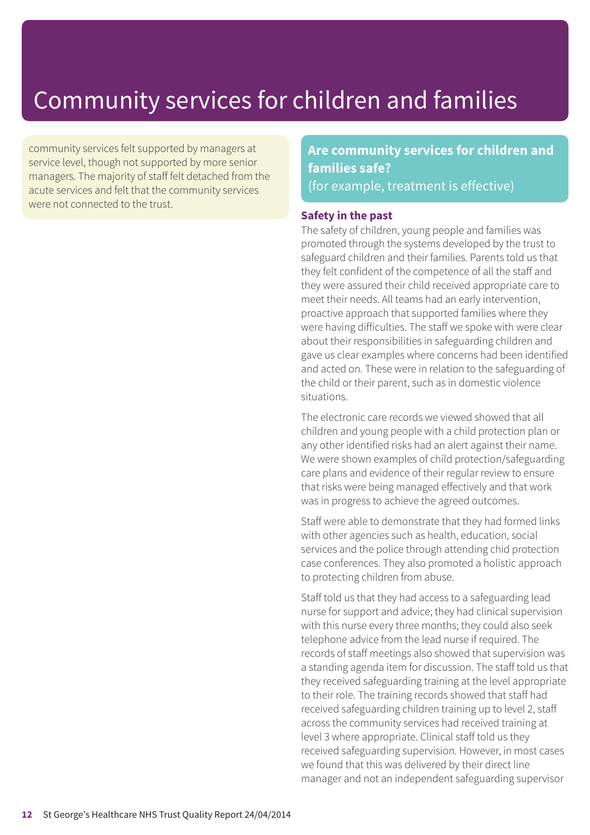community services felt supported by managers at service level, though not supported by more senior managers. The majority of staff felt detached from the acute services and felt that the community services were not connected to the trust.

### **Are community services for children and families safe?** (for example, treatment is effective)

#### **Safety in the past**

The safety of children, young people and families was promoted through the systems developed by the trust to safeguard children and their families. Parents told us that they felt confident of the competence of all the staff and they were assured their child received appropriate care to meet their needs. All teams had an early intervention, proactive approach that supported families where they were having difficulties. The staff we spoke with were clear about their responsibilities in safeguarding children and gave us clear examples where concerns had been identified and acted on. These were in relation to the safeguarding of the child or their parent, such as in domestic violence situations.

The electronic care records we viewed showed that all children and young people with a child protection plan or any other identified risks had an alert against their name. We were shown examples of child protection/safeguarding care plans and evidence of their regular review to ensure that risks were being managed effectively and that work was in progress to achieve the agreed outcomes.

Staff were able to demonstrate that they had formed links with other agencies such as health, education, social services and the police through attending chid protection case conferences. They also promoted a holistic approach to protecting children from abuse.

Staff told us that they had access to a safeguarding lead nurse for support and advice; they had clinical supervision with this nurse every three months; they could also seek telephone advice from the lead nurse if required. The records of staff meetings also showed that supervision was a standing agenda item for discussion. The staff told us that they received safeguarding training at the level appropriate to their role. The training records showed that staff had received safeguarding children training up to level 2, staff across the community services had received training at level 3 where appropriate. Clinical staff told us they received safeguarding supervision. However, in most cases we found that this was delivered by their direct line manager and not an independent safeguarding supervisor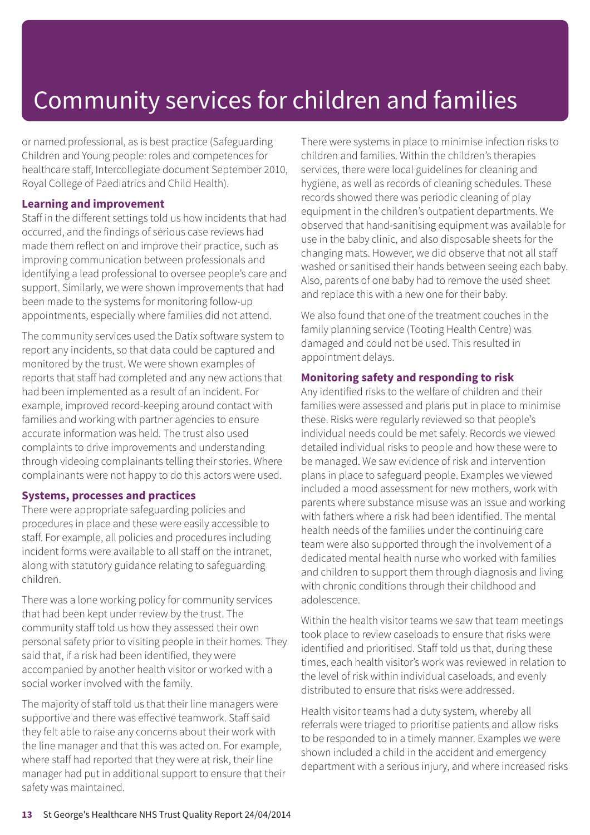or named professional, as is best practice (Safeguarding Children and Young people: roles and competences for healthcare staff, Intercollegiate document September 2010, Royal College of Paediatrics and Child Health).

#### **Learning and improvement**

Staff in the different settings told us how incidents that had occurred, and the findings of serious case reviews had made them reflect on and improve their practice, such as improving communication between professionals and identifying a lead professional to oversee people's care and support. Similarly, we were shown improvements that had been made to the systems for monitoring follow-up appointments, especially where families did not attend.

The community services used the Datix software system to report any incidents, so that data could be captured and monitored by the trust. We were shown examples of reports that staff had completed and any new actions that had been implemented as a result of an incident. For example, improved record-keeping around contact with families and working with partner agencies to ensure accurate information was held. The trust also used complaints to drive improvements and understanding through videoing complainants telling their stories. Where complainants were not happy to do this actors were used.

#### **Systems, processes and practices**

There were appropriate safeguarding policies and procedures in place and these were easily accessible to staff. For example, all policies and procedures including incident forms were available to all staff on the intranet, along with statutory guidance relating to safeguarding children.

There was a lone working policy for community services that had been kept under review by the trust. The community staff told us how they assessed their own personal safety prior to visiting people in their homes. They said that, if a risk had been identified, they were accompanied by another health visitor or worked with a social worker involved with the family.

The majority of staff told us that their line managers were supportive and there was effective teamwork. Staff said they felt able to raise any concerns about their work with the line manager and that this was acted on. For example, where staff had reported that they were at risk, their line manager had put in additional support to ensure that their safety was maintained.

There were systems in place to minimise infection risks to children and families. Within the children's therapies services, there were local guidelines for cleaning and hygiene, as well as records of cleaning schedules. These records showed there was periodic cleaning of play equipment in the children's outpatient departments. We observed that hand-sanitising equipment was available for use in the baby clinic, and also disposable sheets for the changing mats. However, we did observe that not all staff washed or sanitised their hands between seeing each baby. Also, parents of one baby had to remove the used sheet and replace this with a new one for their baby.

We also found that one of the treatment couches in the family planning service (Tooting Health Centre) was damaged and could not be used. This resulted in appointment delays.

#### **Monitoring safety and responding to risk**

Any identified risks to the welfare of children and their families were assessed and plans put in place to minimise these. Risks were regularly reviewed so that people's individual needs could be met safely. Records we viewed detailed individual risks to people and how these were to be managed. We saw evidence of risk and intervention plans in place to safeguard people. Examples we viewed included a mood assessment for new mothers, work with parents where substance misuse was an issue and working with fathers where a risk had been identified. The mental health needs of the families under the continuing care team were also supported through the involvement of a dedicated mental health nurse who worked with families and children to support them through diagnosis and living with chronic conditions through their childhood and adolescence.

Within the health visitor teams we saw that team meetings took place to review caseloads to ensure that risks were identified and prioritised. Staff told us that, during these times, each health visitor's work was reviewed in relation to the level of risk within individual caseloads, and evenly distributed to ensure that risks were addressed.

Health visitor teams had a duty system, whereby all referrals were triaged to prioritise patients and allow risks to be responded to in a timely manner. Examples we were shown included a child in the accident and emergency department with a serious injury, and where increased risks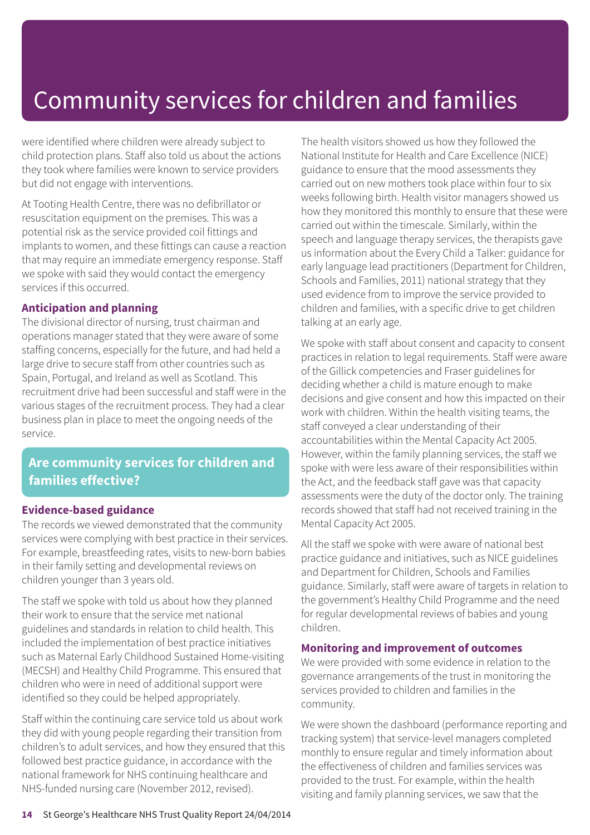were identified where children were already subject to child protection plans. Staff also told us about the actions they took where families were known to service providers but did not engage with interventions.

At Tooting Health Centre, there was no defibrillator or resuscitation equipment on the premises. This was a potential risk as the service provided coil fittings and implants to women, and these fittings can cause a reaction that may require an immediate emergency response. Staff we spoke with said they would contact the emergency services if this occurred.

#### **Anticipation and planning**

The divisional director of nursing, trust chairman and operations manager stated that they were aware of some staffing concerns, especially for the future, and had held a large drive to secure staff from other countries such as Spain, Portugal, and Ireland as well as Scotland. This recruitment drive had been successful and staff were in the various stages of the recruitment process. They had a clear business plan in place to meet the ongoing needs of the service.

### **Are community services for children and families effective?**

#### **Evidence-based guidance**

The records we viewed demonstrated that the community services were complying with best practice in their services. For example, breastfeeding rates, visits to new-born babies in their family setting and developmental reviews on children younger than 3 years old.

The staff we spoke with told us about how they planned their work to ensure that the service met national guidelines and standards in relation to child health. This included the implementation of best practice initiatives such as Maternal Early Childhood Sustained Home-visiting (MECSH) and Healthy Child Programme. This ensured that children who were in need of additional support were identified so they could be helped appropriately.

Staff within the continuing care service told us about work they did with young people regarding their transition from children's to adult services, and how they ensured that this followed best practice guidance, in accordance with the national framework for NHS continuing healthcare and NHS-funded nursing care (November 2012, revised).

The health visitors showed us how they followed the National Institute for Health and Care Excellence (NICE) guidance to ensure that the mood assessments they carried out on new mothers took place within four to six weeks following birth. Health visitor managers showed us how they monitored this monthly to ensure that these were carried out within the timescale. Similarly, within the speech and language therapy services, the therapists gave us information about the Every Child a Talker: guidance for early language lead practitioners (Department for Children, Schools and Families, 2011) national strategy that they used evidence from to improve the service provided to children and families, with a specific drive to get children talking at an early age.

We spoke with staff about consent and capacity to consent practices in relation to legal requirements. Staff were aware of the Gillick competencies and Fraser guidelines for deciding whether a child is mature enough to make decisions and give consent and how this impacted on their work with children. Within the health visiting teams, the staff conveyed a clear understanding of their accountabilities within the Mental Capacity Act 2005. However, within the family planning services, the staff we spoke with were less aware of their responsibilities within the Act, and the feedback staff gave was that capacity assessments were the duty of the doctor only. The training records showed that staff had not received training in the Mental Capacity Act 2005.

All the staff we spoke with were aware of national best practice guidance and initiatives, such as NICE guidelines and Department for Children, Schools and Families guidance. Similarly, staff were aware of targets in relation to the government's Healthy Child Programme and the need for regular developmental reviews of babies and young children.

#### **Monitoring and improvement of outcomes**

We were provided with some evidence in relation to the governance arrangements of the trust in monitoring the services provided to children and families in the community.

We were shown the dashboard (performance reporting and tracking system) that service-level managers completed monthly to ensure regular and timely information about the effectiveness of children and families services was provided to the trust. For example, within the health visiting and family planning services, we saw that the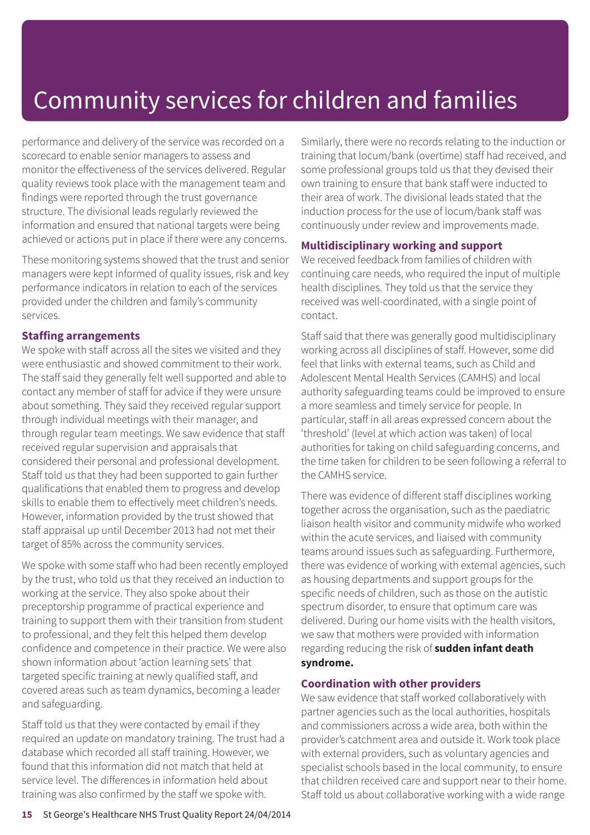performance and delivery of the service was recorded on a scorecard to enable senior managers to assess and monitor the effectiveness of the services delivered. Regular quality reviews took place with the management team and findings were reported through the trust governance structure. The divisional leads regularly reviewed the information and ensured that national targets were being achieved or actions put in place if there were any concerns.

These monitoring systems showed that the trust and senior managers were kept informed of quality issues, risk and key performance indicators in relation to each of the services provided under the children and family's community services.

#### **Staffing arrangements**

We spoke with staff across all the sites we visited and they were enthusiastic and showed commitment to their work. The staff said they generally felt well supported and able to contact any member of staff for advice if they were unsure about something. They said they received regular support through individual meetings with their manager, and through regular team meetings. We saw evidence that staff received regular supervision and appraisals that considered their personal and professional development. Staff told us that they had been supported to gain further qualifications that enabled them to progress and develop skills to enable them to effectively meet children's needs. However, information provided by the trust showed that staff appraisal up until December 2013 had not met their target of 85% across the community services.

We spoke with some staff who had been recently employed by the trust, who told us that they received an induction to working at the service. They also spoke about their preceptorship programme of practical experience and training to support them with their transition from student to professional, and they felt this helped them develop confidence and competence in their practice. We were also shown information about 'action learning sets' that targeted specific training at newly qualified staff, and covered areas such as team dynamics, becoming a leader and safeguarding.

Staff told us that they were contacted by email if they required an update on mandatory training. The trust had a database which recorded all staff training. However, we found that this information did not match that held at service level. The differences in information held about training was also confirmed by the staff we spoke with.

Similarly, there were no records relating to the induction or training that locum/bank (overtime) staff had received, and some professional groups told us that they devised their own training to ensure that bank staff were inducted to their area of work. The divisional leads stated that the induction process for the use of locum/bank staff was continuously under review and improvements made.

#### **Multidisciplinary working and support**

We received feedback from families of children with continuing care needs, who required the input of multiple health disciplines. They told us that the service they received was well-coordinated, with a single point of contact.

Staff said that there was generally good multidisciplinary working across all disciplines of staff. However, some did feel that links with external teams, such as Child and Adolescent Mental Health Services (CAMHS) and local authority safeguarding teams could be improved to ensure a more seamless and timely service for people. In particular, staff in all areas expressed concern about the 'threshold' (level at which action was taken) of local authorities for taking on child safeguarding concerns, and the time taken for children to be seen following a referral to the CAMHS service.

There was evidence of different staff disciplines working together across the organisation, such as the paediatric liaison health visitor and community midwife who worked within the acute services, and liaised with community teams around issues such as safeguarding. Furthermore, there was evidence of working with external agencies, such as housing departments and support groups for the specific needs of children, such as those on the autistic spectrum disorder, to ensure that optimum care was delivered. During our home visits with the health visitors, we saw that mothers were provided with information regarding reducing the risk of **sudden infant death syndrome.**

#### **Coordination with other providers**

We saw evidence that staff worked collaboratively with partner agencies such as the local authorities, hospitals and commissioners across a wide area, both within the provider's catchment area and outside it. Work took place with external providers, such as voluntary agencies and specialist schools based in the local community, to ensure that children received care and support near to their home. Staff told us about collaborative working with a wide range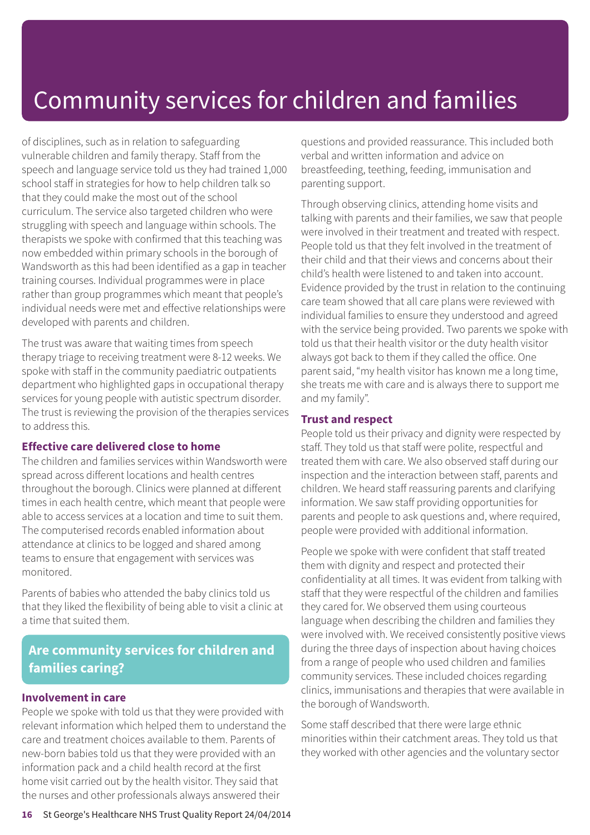of disciplines, such as in relation to safeguarding vulnerable children and family therapy. Staff from the speech and language service told us they had trained 1,000 school staff in strategies for how to help children talk so that they could make the most out of the school curriculum. The service also targeted children who were struggling with speech and language within schools. The therapists we spoke with confirmed that this teaching was now embedded within primary schools in the borough of Wandsworth as this had been identified as a gap in teacher training courses. Individual programmes were in place rather than group programmes which meant that people's individual needs were met and effective relationships were developed with parents and children.

The trust was aware that waiting times from speech therapy triage to receiving treatment were 8-12 weeks. We spoke with staff in the community paediatric outpatients department who highlighted gaps in occupational therapy services for young people with autistic spectrum disorder. The trust is reviewing the provision of the therapies services to address this.

#### **Effective care delivered close to home**

The children and families services within Wandsworth were spread across different locations and health centres throughout the borough. Clinics were planned at different times in each health centre, which meant that people were able to access services at a location and time to suit them. The computerised records enabled information about attendance at clinics to be logged and shared among teams to ensure that engagement with services was monitored.

Parents of babies who attended the baby clinics told us that they liked the flexibility of being able to visit a clinic at a time that suited them.

### **Are community services for children and families caring?**

#### **Involvement in care**

People we spoke with told us that they were provided with relevant information which helped them to understand the care and treatment choices available to them. Parents of new-born babies told us that they were provided with an information pack and a child health record at the first home visit carried out by the health visitor. They said that the nurses and other professionals always answered their

questions and provided reassurance. This included both verbal and written information and advice on breastfeeding, teething, feeding, immunisation and parenting support.

Through observing clinics, attending home visits and talking with parents and their families, we saw that people were involved in their treatment and treated with respect. People told us that they felt involved in the treatment of their child and that their views and concerns about their child's health were listened to and taken into account. Evidence provided by the trust in relation to the continuing care team showed that all care plans were reviewed with individual families to ensure they understood and agreed with the service being provided. Two parents we spoke with told us that their health visitor or the duty health visitor always got back to them if they called the office. One parent said, "my health visitor has known me a long time, she treats me with care and is always there to support me and my family".

#### **Trust and respect**

People told us their privacy and dignity were respected by staff. They told us that staff were polite, respectful and treated them with care. We also observed staff during our inspection and the interaction between staff, parents and children. We heard staff reassuring parents and clarifying information. We saw staff providing opportunities for parents and people to ask questions and, where required, people were provided with additional information.

People we spoke with were confident that staff treated them with dignity and respect and protected their confidentiality at all times. It was evident from talking with staff that they were respectful of the children and families they cared for. We observed them using courteous language when describing the children and families they were involved with. We received consistently positive views during the three days of inspection about having choices from a range of people who used children and families community services. These included choices regarding clinics, immunisations and therapies that were available in the borough of Wandsworth.

Some staff described that there were large ethnic minorities within their catchment areas. They told us that they worked with other agencies and the voluntary sector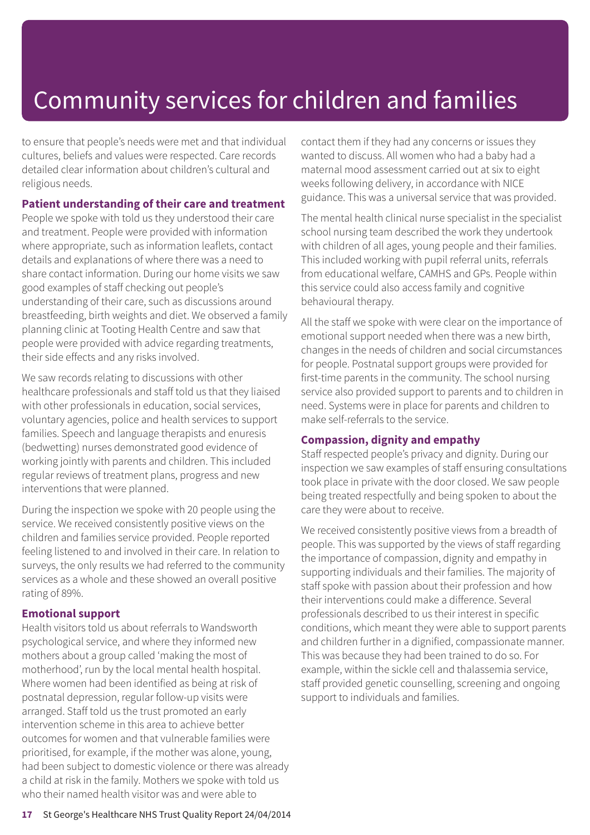to ensure that people's needs were met and that individual cultures, beliefs and values were respected. Care records detailed clear information about children's cultural and religious needs.

#### **Patient understanding of their care and treatment**

People we spoke with told us they understood their care and treatment. People were provided with information where appropriate, such as information leaflets, contact details and explanations of where there was a need to share contact information. During our home visits we saw good examples of staff checking out people's understanding of their care, such as discussions around breastfeeding, birth weights and diet. We observed a family planning clinic at Tooting Health Centre and saw that people were provided with advice regarding treatments, their side effects and any risks involved.

We saw records relating to discussions with other healthcare professionals and staff told us that they liaised with other professionals in education, social services, voluntary agencies, police and health services to support families. Speech and language therapists and enuresis (bedwetting) nurses demonstrated good evidence of working jointly with parents and children. This included regular reviews of treatment plans, progress and new interventions that were planned.

During the inspection we spoke with 20 people using the service. We received consistently positive views on the children and families service provided. People reported feeling listened to and involved in their care. In relation to surveys, the only results we had referred to the community services as a whole and these showed an overall positive rating of 89%.

#### **Emotional support**

Health visitors told us about referrals to Wandsworth psychological service, and where they informed new mothers about a group called 'making the most of motherhood', run by the local mental health hospital. Where women had been identified as being at risk of postnatal depression, regular follow-up visits were arranged. Staff told us the trust promoted an early intervention scheme in this area to achieve better outcomes for women and that vulnerable families were prioritised, for example, if the mother was alone, young, had been subject to domestic violence or there was already a child at risk in the family. Mothers we spoke with told us who their named health visitor was and were able to

contact them if they had any concerns or issues they wanted to discuss. All women who had a baby had a maternal mood assessment carried out at six to eight weeks following delivery, in accordance with NICE guidance. This was a universal service that was provided.

The mental health clinical nurse specialist in the specialist school nursing team described the work they undertook with children of all ages, young people and their families. This included working with pupil referral units, referrals from educational welfare, CAMHS and GPs. People within this service could also access family and cognitive behavioural therapy.

All the staff we spoke with were clear on the importance of emotional support needed when there was a new birth, changes in the needs of children and social circumstances for people. Postnatal support groups were provided for first-time parents in the community. The school nursing service also provided support to parents and to children in need. Systems were in place for parents and children to make self-referrals to the service.

#### **Compassion, dignity and empathy**

Staff respected people's privacy and dignity. During our inspection we saw examples of staff ensuring consultations took place in private with the door closed. We saw people being treated respectfully and being spoken to about the care they were about to receive.

We received consistently positive views from a breadth of people. This was supported by the views of staff regarding the importance of compassion, dignity and empathy in supporting individuals and their families. The majority of staff spoke with passion about their profession and how their interventions could make a difference. Several professionals described to us their interest in specific conditions, which meant they were able to support parents and children further in a dignified, compassionate manner. This was because they had been trained to do so. For example, within the sickle cell and thalassemia service, staff provided genetic counselling, screening and ongoing support to individuals and families.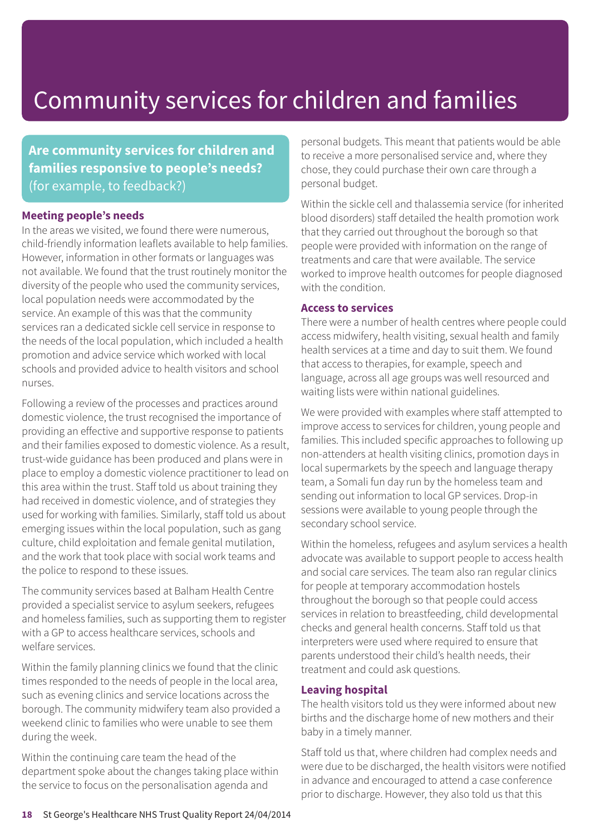**Are community services for children and families responsive to people's needs?** (for example, to feedback?)

#### **Meeting people's needs**

In the areas we visited, we found there were numerous, child-friendly information leaflets available to help families. However, information in other formats or languages was not available. We found that the trust routinely monitor the diversity of the people who used the community services, local population needs were accommodated by the service. An example of this was that the community services ran a dedicated sickle cell service in response to the needs of the local population, which included a health promotion and advice service which worked with local schools and provided advice to health visitors and school nurses.

Following a review of the processes and practices around domestic violence, the trust recognised the importance of providing an effective and supportive response to patients and their families exposed to domestic violence. As a result, trust-wide guidance has been produced and plans were in place to employ a domestic violence practitioner to lead on this area within the trust. Staff told us about training they had received in domestic violence, and of strategies they used for working with families. Similarly, staff told us about emerging issues within the local population, such as gang culture, child exploitation and female genital mutilation, and the work that took place with social work teams and the police to respond to these issues.

The community services based at Balham Health Centre provided a specialist service to asylum seekers, refugees and homeless families, such as supporting them to register with a GP to access healthcare services, schools and welfare services.

Within the family planning clinics we found that the clinic times responded to the needs of people in the local area, such as evening clinics and service locations across the borough. The community midwifery team also provided a weekend clinic to families who were unable to see them during the week.

Within the continuing care team the head of the department spoke about the changes taking place within the service to focus on the personalisation agenda and

personal budgets. This meant that patients would be able to receive a more personalised service and, where they chose, they could purchase their own care through a personal budget.

Within the sickle cell and thalassemia service (for inherited blood disorders) staff detailed the health promotion work that they carried out throughout the borough so that people were provided with information on the range of treatments and care that were available. The service worked to improve health outcomes for people diagnosed with the condition

#### **Access to services**

There were a number of health centres where people could access midwifery, health visiting, sexual health and family health services at a time and day to suit them. We found that access to therapies, for example, speech and language, across all age groups was well resourced and waiting lists were within national guidelines.

We were provided with examples where staff attempted to improve access to services for children, young people and families. This included specific approaches to following up non-attenders at health visiting clinics, promotion days in local supermarkets by the speech and language therapy team, a Somali fun day run by the homeless team and sending out information to local GP services. Drop-in sessions were available to young people through the secondary school service.

Within the homeless, refugees and asylum services a health advocate was available to support people to access health and social care services. The team also ran regular clinics for people at temporary accommodation hostels throughout the borough so that people could access services in relation to breastfeeding, child developmental checks and general health concerns. Staff told us that interpreters were used where required to ensure that parents understood their child's health needs, their treatment and could ask questions.

#### **Leaving hospital**

The health visitors told us they were informed about new births and the discharge home of new mothers and their baby in a timely manner.

Staff told us that, where children had complex needs and were due to be discharged, the health visitors were notified in advance and encouraged to attend a case conference prior to discharge. However, they also told us that this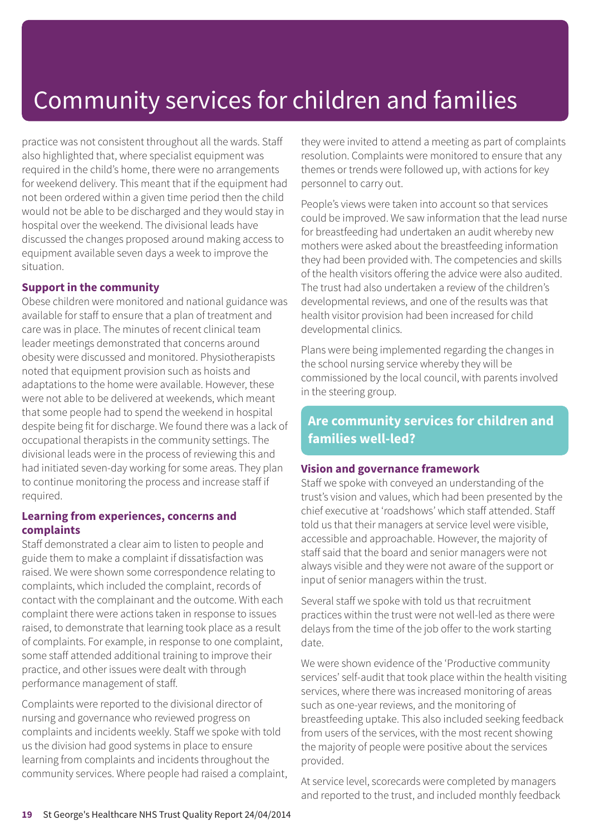practice was not consistent throughout all the wards. Staff also highlighted that, where specialist equipment was required in the child's home, there were no arrangements for weekend delivery. This meant that if the equipment had not been ordered within a given time period then the child would not be able to be discharged and they would stay in hospital over the weekend. The divisional leads have discussed the changes proposed around making access to equipment available seven days a week to improve the situation.

#### **Support in the community**

Obese children were monitored and national guidance was available for staff to ensure that a plan of treatment and care was in place. The minutes of recent clinical team leader meetings demonstrated that concerns around obesity were discussed and monitored. Physiotherapists noted that equipment provision such as hoists and adaptations to the home were available. However, these were not able to be delivered at weekends, which meant that some people had to spend the weekend in hospital despite being fit for discharge. We found there was a lack of occupational therapists in the community settings. The divisional leads were in the process of reviewing this and had initiated seven-day working for some areas. They plan to continue monitoring the process and increase staff if required.

#### **Learning from experiences, concerns and complaints**

Staff demonstrated a clear aim to listen to people and guide them to make a complaint if dissatisfaction was raised. We were shown some correspondence relating to complaints, which included the complaint, records of contact with the complainant and the outcome. With each complaint there were actions taken in response to issues raised, to demonstrate that learning took place as a result of complaints. For example, in response to one complaint, some staff attended additional training to improve their practice, and other issues were dealt with through performance management of staff.

Complaints were reported to the divisional director of nursing and governance who reviewed progress on complaints and incidents weekly. Staff we spoke with told us the division had good systems in place to ensure learning from complaints and incidents throughout the community services. Where people had raised a complaint, they were invited to attend a meeting as part of complaints resolution. Complaints were monitored to ensure that any themes or trends were followed up, with actions for key personnel to carry out.

People's views were taken into account so that services could be improved. We saw information that the lead nurse for breastfeeding had undertaken an audit whereby new mothers were asked about the breastfeeding information they had been provided with. The competencies and skills of the health visitors offering the advice were also audited. The trust had also undertaken a review of the children's developmental reviews, and one of the results was that health visitor provision had been increased for child developmental clinics.

Plans were being implemented regarding the changes in the school nursing service whereby they will be commissioned by the local council, with parents involved in the steering group.

### **Are community services for children and families well-led?**

#### **Vision and governance framework**

Staff we spoke with conveyed an understanding of the trust's vision and values, which had been presented by the chief executive at 'roadshows' which staff attended. Staff told us that their managers at service level were visible, accessible and approachable. However, the majority of staff said that the board and senior managers were not always visible and they were not aware of the support or input of senior managers within the trust.

Several staff we spoke with told us that recruitment practices within the trust were not well-led as there were delays from the time of the job offer to the work starting date.

We were shown evidence of the 'Productive community services' self-audit that took place within the health visiting services, where there was increased monitoring of areas such as one-year reviews, and the monitoring of breastfeeding uptake. This also included seeking feedback from users of the services, with the most recent showing the majority of people were positive about the services provided.

At service level, scorecards were completed by managers and reported to the trust, and included monthly feedback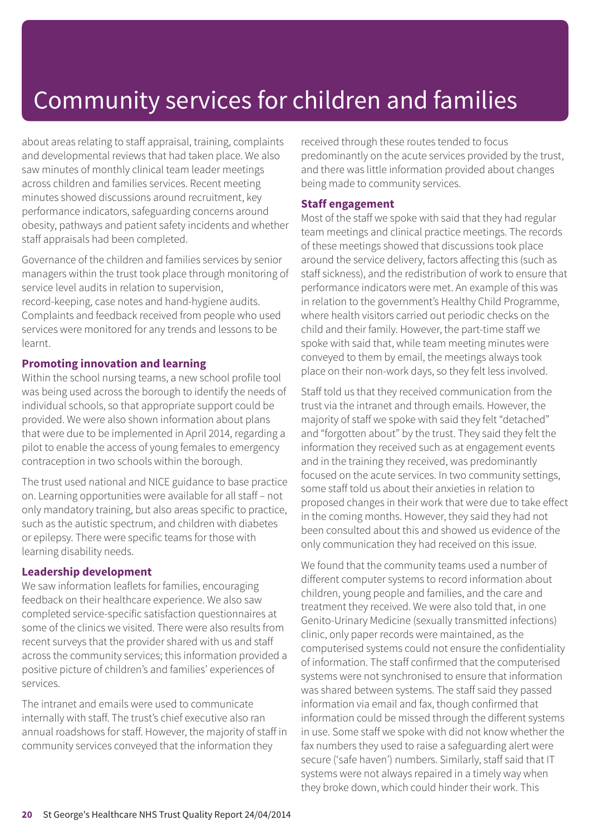about areas relating to staff appraisal, training, complaints and developmental reviews that had taken place. We also saw minutes of monthly clinical team leader meetings across children and families services. Recent meeting minutes showed discussions around recruitment, key performance indicators, safeguarding concerns around obesity, pathways and patient safety incidents and whether staff appraisals had been completed.

Governance of the children and families services by senior managers within the trust took place through monitoring of service level audits in relation to supervision, record-keeping, case notes and hand-hygiene audits. Complaints and feedback received from people who used services were monitored for any trends and lessons to be learnt.

#### **Promoting innovation and learning**

Within the school nursing teams, a new school profile tool was being used across the borough to identify the needs of individual schools, so that appropriate support could be provided. We were also shown information about plans that were due to be implemented in April 2014, regarding a pilot to enable the access of young females to emergency contraception in two schools within the borough.

The trust used national and NICE guidance to base practice on. Learning opportunities were available for all staff – not only mandatory training, but also areas specific to practice, such as the autistic spectrum, and children with diabetes or epilepsy. There were specific teams for those with learning disability needs.

#### **Leadership development**

We saw information leaflets for families, encouraging feedback on their healthcare experience. We also saw completed service-specific satisfaction questionnaires at some of the clinics we visited. There were also results from recent surveys that the provider shared with us and staff across the community services; this information provided a positive picture of children's and families' experiences of services.

The intranet and emails were used to communicate internally with staff. The trust's chief executive also ran annual roadshows for staff. However, the majority of staff in community services conveyed that the information they

received through these routes tended to focus predominantly on the acute services provided by the trust, and there was little information provided about changes being made to community services.

#### **Staff engagement**

Most of the staff we spoke with said that they had regular team meetings and clinical practice meetings. The records of these meetings showed that discussions took place around the service delivery, factors affecting this (such as staff sickness), and the redistribution of work to ensure that performance indicators were met. An example of this was in relation to the government's Healthy Child Programme, where health visitors carried out periodic checks on the child and their family. However, the part-time staff we spoke with said that, while team meeting minutes were conveyed to them by email, the meetings always took place on their non-work days, so they felt less involved.

Staff told us that they received communication from the trust via the intranet and through emails. However, the majority of staff we spoke with said they felt "detached" and "forgotten about" by the trust. They said they felt the information they received such as at engagement events and in the training they received, was predominantly focused on the acute services. In two community settings, some staff told us about their anxieties in relation to proposed changes in their work that were due to take effect in the coming months. However, they said they had not been consulted about this and showed us evidence of the only communication they had received on this issue.

We found that the community teams used a number of different computer systems to record information about children, young people and families, and the care and treatment they received. We were also told that, in one Genito-Urinary Medicine (sexually transmitted infections) clinic, only paper records were maintained, as the computerised systems could not ensure the confidentiality of information. The staff confirmed that the computerised systems were not synchronised to ensure that information was shared between systems. The staff said they passed information via email and fax, though confirmed that information could be missed through the different systems in use. Some staff we spoke with did not know whether the fax numbers they used to raise a safeguarding alert were secure ('safe haven') numbers. Similarly, staff said that IT systems were not always repaired in a timely way when they broke down, which could hinder their work. This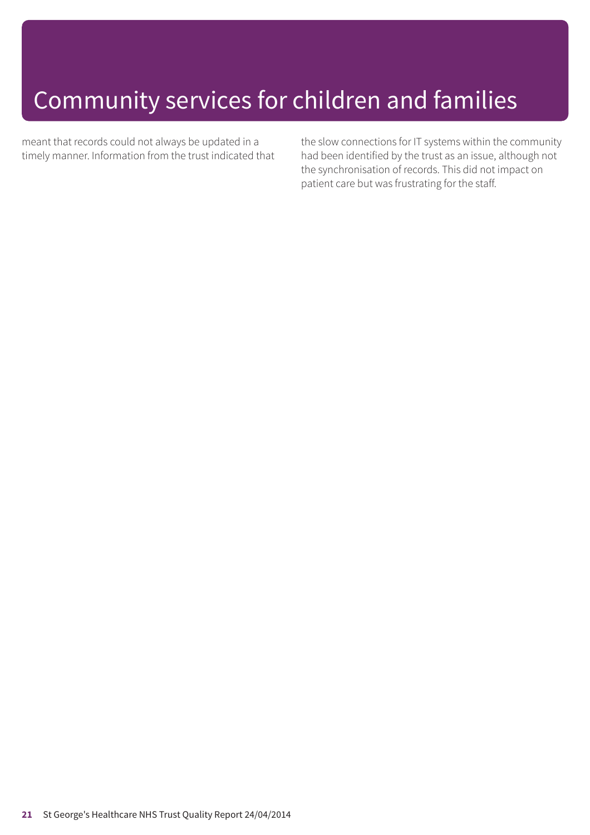meant that records could not always be updated in a timely manner. Information from the trust indicated that the slow connections for IT systems within the community had been identified by the trust as an issue, although not the synchronisation of records. This did not impact on patient care but was frustrating for the staff.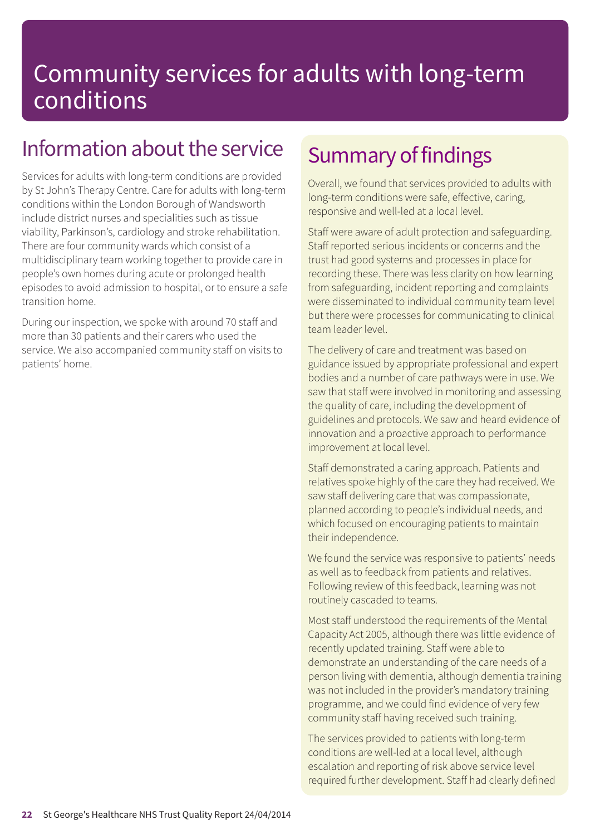### Information about the service

Services for adults with long-term conditions are provided by St John's Therapy Centre. Care for adults with long-term conditions within the London Borough of Wandsworth include district nurses and specialities such as tissue viability, Parkinson's, cardiology and stroke rehabilitation. There are four community wards which consist of a multidisciplinary team working together to provide care in people's own homes during acute or prolonged health episodes to avoid admission to hospital, or to ensure a safe transition home.

During our inspection, we spoke with around 70 staff and more than 30 patients and their carers who used the service. We also accompanied community staff on visits to patients' home.

### Summary of findings

Overall, we found that services provided to adults with long-term conditions were safe, effective, caring, responsive and well-led at a local level.

Staff were aware of adult protection and safeguarding. Staff reported serious incidents or concerns and the trust had good systems and processes in place for recording these. There was less clarity on how learning from safeguarding, incident reporting and complaints were disseminated to individual community team level but there were processes for communicating to clinical team leader level.

The delivery of care and treatment was based on guidance issued by appropriate professional and expert bodies and a number of care pathways were in use. We saw that staff were involved in monitoring and assessing the quality of care, including the development of guidelines and protocols. We saw and heard evidence of innovation and a proactive approach to performance improvement at local level.

Staff demonstrated a caring approach. Patients and relatives spoke highly of the care they had received. We saw staff delivering care that was compassionate, planned according to people's individual needs, and which focused on encouraging patients to maintain their independence.

We found the service was responsive to patients' needs as well as to feedback from patients and relatives. Following review of this feedback, learning was not routinely cascaded to teams.

Most staff understood the requirements of the Mental Capacity Act 2005, although there was little evidence of recently updated training. Staff were able to demonstrate an understanding of the care needs of a person living with dementia, although dementia training was not included in the provider's mandatory training programme, and we could find evidence of very few community staff having received such training.

The services provided to patients with long-term conditions are well-led at a local level, although escalation and reporting of risk above service level required further development. Staff had clearly defined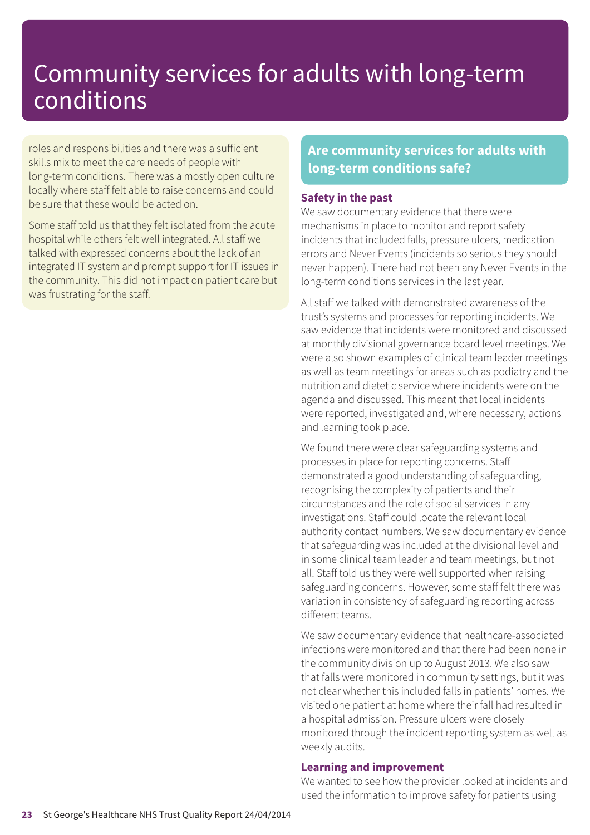roles and responsibilities and there was a sufficient skills mix to meet the care needs of people with long-term conditions. There was a mostly open culture locally where staff felt able to raise concerns and could be sure that these would be acted on.

Some staff told us that they felt isolated from the acute hospital while others felt well integrated. All staff we talked with expressed concerns about the lack of an integrated IT system and prompt support for IT issues in the community. This did not impact on patient care but was frustrating for the staff.

### **Are community services for adults with long-term conditions safe?**

#### **Safety in the past**

We saw documentary evidence that there were mechanisms in place to monitor and report safety incidents that included falls, pressure ulcers, medication errors and Never Events (incidents so serious they should never happen). There had not been any Never Events in the long-term conditions services in the last year.

All staff we talked with demonstrated awareness of the trust's systems and processes for reporting incidents. We saw evidence that incidents were monitored and discussed at monthly divisional governance board level meetings. We were also shown examples of clinical team leader meetings as well as team meetings for areas such as podiatry and the nutrition and dietetic service where incidents were on the agenda and discussed. This meant that local incidents were reported, investigated and, where necessary, actions and learning took place.

We found there were clear safeguarding systems and processes in place for reporting concerns. Staff demonstrated a good understanding of safeguarding, recognising the complexity of patients and their circumstances and the role of social services in any investigations. Staff could locate the relevant local authority contact numbers. We saw documentary evidence that safeguarding was included at the divisional level and in some clinical team leader and team meetings, but not all. Staff told us they were well supported when raising safeguarding concerns. However, some staff felt there was variation in consistency of safeguarding reporting across different teams.

We saw documentary evidence that healthcare-associated infections were monitored and that there had been none in the community division up to August 2013. We also saw that falls were monitored in community settings, but it was not clear whether this included falls in patients' homes. We visited one patient at home where their fall had resulted in a hospital admission. Pressure ulcers were closely monitored through the incident reporting system as well as weekly audits.

#### **Learning and improvement**

We wanted to see how the provider looked at incidents and used the information to improve safety for patients using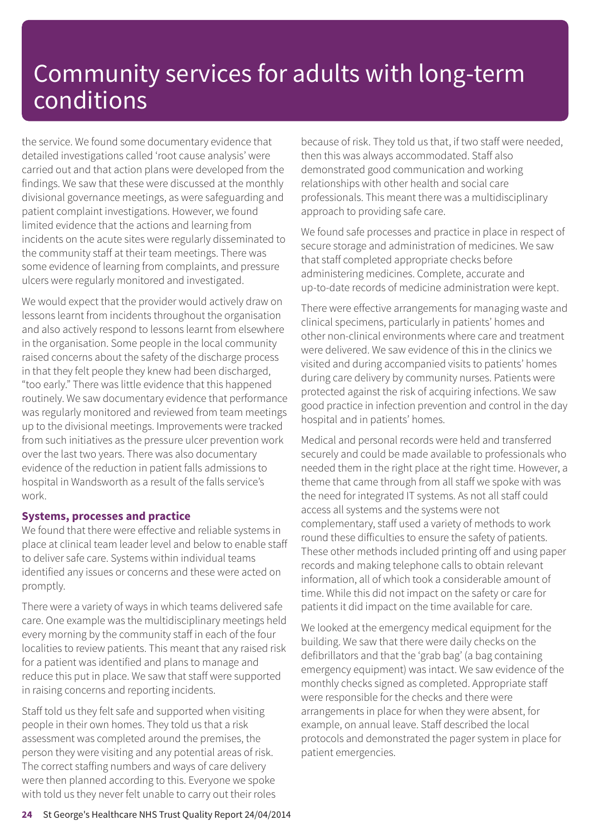the service. We found some documentary evidence that detailed investigations called 'root cause analysis' were carried out and that action plans were developed from the findings. We saw that these were discussed at the monthly divisional governance meetings, as were safeguarding and patient complaint investigations. However, we found limited evidence that the actions and learning from incidents on the acute sites were regularly disseminated to the community staff at their team meetings. There was some evidence of learning from complaints, and pressure ulcers were regularly monitored and investigated.

We would expect that the provider would actively draw on lessons learnt from incidents throughout the organisation and also actively respond to lessons learnt from elsewhere in the organisation. Some people in the local community raised concerns about the safety of the discharge process in that they felt people they knew had been discharged, "too early." There was little evidence that this happened routinely. We saw documentary evidence that performance was regularly monitored and reviewed from team meetings up to the divisional meetings. Improvements were tracked from such initiatives as the pressure ulcer prevention work over the last two years. There was also documentary evidence of the reduction in patient falls admissions to hospital in Wandsworth as a result of the falls service's work.

#### **Systems, processes and practice**

We found that there were effective and reliable systems in place at clinical team leader level and below to enable staff to deliver safe care. Systems within individual teams identified any issues or concerns and these were acted on promptly.

There were a variety of ways in which teams delivered safe care. One example was the multidisciplinary meetings held every morning by the community staff in each of the four localities to review patients. This meant that any raised risk for a patient was identified and plans to manage and reduce this put in place. We saw that staff were supported in raising concerns and reporting incidents.

Staff told us they felt safe and supported when visiting people in their own homes. They told us that a risk assessment was completed around the premises, the person they were visiting and any potential areas of risk. The correct staffing numbers and ways of care delivery were then planned according to this. Everyone we spoke with told us they never felt unable to carry out their roles because of risk. They told us that, if two staff were needed, then this was always accommodated. Staff also demonstrated good communication and working relationships with other health and social care professionals. This meant there was a multidisciplinary approach to providing safe care.

We found safe processes and practice in place in respect of secure storage and administration of medicines. We saw that staff completed appropriate checks before administering medicines. Complete, accurate and up-to-date records of medicine administration were kept.

There were effective arrangements for managing waste and clinical specimens, particularly in patients' homes and other non-clinical environments where care and treatment were delivered. We saw evidence of this in the clinics we visited and during accompanied visits to patients' homes during care delivery by community nurses. Patients were protected against the risk of acquiring infections. We saw good practice in infection prevention and control in the day hospital and in patients' homes.

Medical and personal records were held and transferred securely and could be made available to professionals who needed them in the right place at the right time. However, a theme that came through from all staff we spoke with was the need for integrated IT systems. As not all staff could access all systems and the systems were not complementary, staff used a variety of methods to work round these difficulties to ensure the safety of patients. These other methods included printing off and using paper records and making telephone calls to obtain relevant information, all of which took a considerable amount of time. While this did not impact on the safety or care for patients it did impact on the time available for care.

We looked at the emergency medical equipment for the building. We saw that there were daily checks on the defibrillators and that the 'grab bag' (a bag containing emergency equipment) was intact. We saw evidence of the monthly checks signed as completed. Appropriate staff were responsible for the checks and there were arrangements in place for when they were absent, for example, on annual leave. Staff described the local protocols and demonstrated the pager system in place for patient emergencies.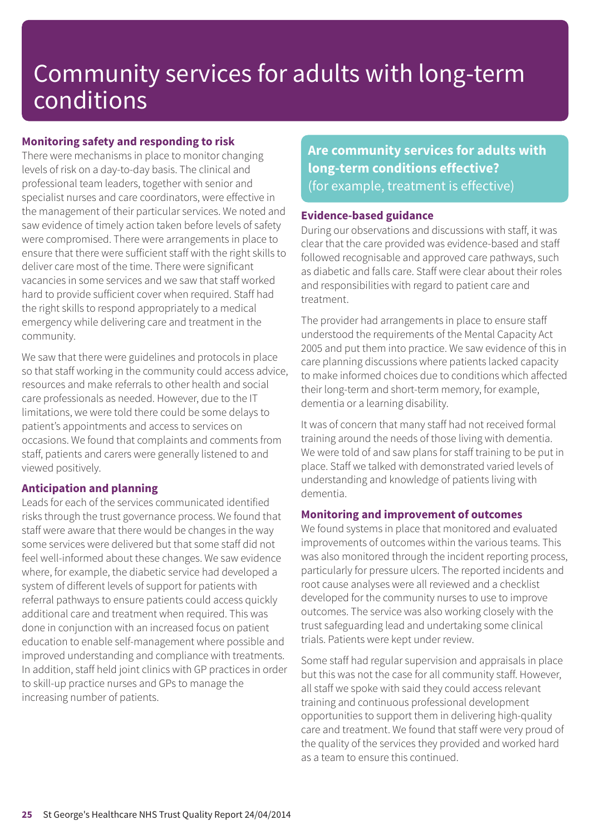#### **Monitoring safety and responding to risk**

There were mechanisms in place to monitor changing levels of risk on a day-to-day basis. The clinical and professional team leaders, together with senior and specialist nurses and care coordinators, were effective in the management of their particular services. We noted and saw evidence of timely action taken before levels of safety were compromised. There were arrangements in place to ensure that there were sufficient staff with the right skills to deliver care most of the time. There were significant vacancies in some services and we saw that staff worked hard to provide sufficient cover when required. Staff had the right skills to respond appropriately to a medical emergency while delivering care and treatment in the community.

We saw that there were guidelines and protocols in place so that staff working in the community could access advice, resources and make referrals to other health and social care professionals as needed. However, due to the IT limitations, we were told there could be some delays to patient's appointments and access to services on occasions. We found that complaints and comments from staff, patients and carers were generally listened to and viewed positively.

#### **Anticipation and planning**

Leads for each of the services communicated identified risks through the trust governance process. We found that staff were aware that there would be changes in the way some services were delivered but that some staff did not feel well-informed about these changes. We saw evidence where, for example, the diabetic service had developed a system of different levels of support for patients with referral pathways to ensure patients could access quickly additional care and treatment when required. This was done in conjunction with an increased focus on patient education to enable self-management where possible and improved understanding and compliance with treatments. In addition, staff held joint clinics with GP practices in order to skill-up practice nurses and GPs to manage the increasing number of patients.

**Are community services for adults with long-term conditions effective?** (for example, treatment is effective)

#### **Evidence-based guidance**

During our observations and discussions with staff, it was clear that the care provided was evidence-based and staff followed recognisable and approved care pathways, such as diabetic and falls care. Staff were clear about their roles and responsibilities with regard to patient care and treatment.

The provider had arrangements in place to ensure staff understood the requirements of the Mental Capacity Act 2005 and put them into practice. We saw evidence of this in care planning discussions where patients lacked capacity to make informed choices due to conditions which affected their long-term and short-term memory, for example, dementia or a learning disability.

It was of concern that many staff had not received formal training around the needs of those living with dementia. We were told of and saw plans for staff training to be put in place. Staff we talked with demonstrated varied levels of understanding and knowledge of patients living with dementia.

#### **Monitoring and improvement of outcomes**

We found systems in place that monitored and evaluated improvements of outcomes within the various teams. This was also monitored through the incident reporting process, particularly for pressure ulcers. The reported incidents and root cause analyses were all reviewed and a checklist developed for the community nurses to use to improve outcomes. The service was also working closely with the trust safeguarding lead and undertaking some clinical trials. Patients were kept under review.

Some staff had regular supervision and appraisals in place but this was not the case for all community staff. However, all staff we spoke with said they could access relevant training and continuous professional development opportunities to support them in delivering high-quality care and treatment. We found that staff were very proud of the quality of the services they provided and worked hard as a team to ensure this continued.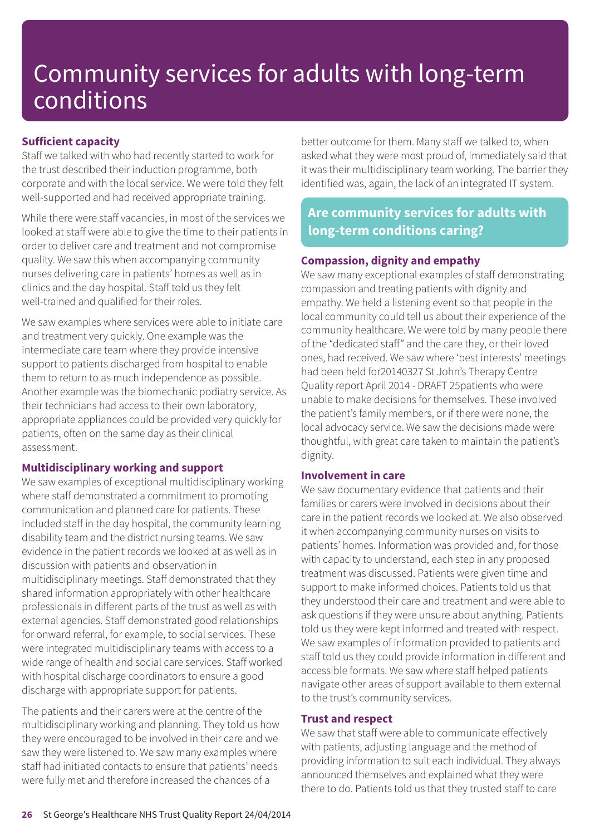#### **Sufficient capacity**

Staff we talked with who had recently started to work for the trust described their induction programme, both corporate and with the local service. We were told they felt well-supported and had received appropriate training.

While there were staff vacancies, in most of the services we looked at staff were able to give the time to their patients in order to deliver care and treatment and not compromise quality. We saw this when accompanying community nurses delivering care in patients' homes as well as in clinics and the day hospital. Staff told us they felt well-trained and qualified for their roles.

We saw examples where services were able to initiate care and treatment very quickly. One example was the intermediate care team where they provide intensive support to patients discharged from hospital to enable them to return to as much independence as possible. Another example was the biomechanic podiatry service. As their technicians had access to their own laboratory, appropriate appliances could be provided very quickly for patients, often on the same day as their clinical assessment.

#### **Multidisciplinary working and support**

We saw examples of exceptional multidisciplinary working where staff demonstrated a commitment to promoting communication and planned care for patients. These included staff in the day hospital, the community learning disability team and the district nursing teams. We saw evidence in the patient records we looked at as well as in discussion with patients and observation in multidisciplinary meetings. Staff demonstrated that they shared information appropriately with other healthcare professionals in different parts of the trust as well as with external agencies. Staff demonstrated good relationships for onward referral, for example, to social services. These were integrated multidisciplinary teams with access to a wide range of health and social care services. Staff worked with hospital discharge coordinators to ensure a good discharge with appropriate support for patients.

The patients and their carers were at the centre of the multidisciplinary working and planning. They told us how they were encouraged to be involved in their care and we saw they were listened to. We saw many examples where staff had initiated contacts to ensure that patients' needs were fully met and therefore increased the chances of a

better outcome for them. Many staff we talked to, when asked what they were most proud of, immediately said that it was their multidisciplinary team working. The barrier they identified was, again, the lack of an integrated IT system.

### **Are community services for adults with long-term conditions caring?**

#### **Compassion, dignity and empathy**

We saw many exceptional examples of staff demonstrating compassion and treating patients with dignity and empathy. We held a listening event so that people in the local community could tell us about their experience of the community healthcare. We were told by many people there of the "dedicated staff" and the care they, or their loved ones, had received. We saw where 'best interests' meetings had been held for20140327 St John's Therapy Centre Quality report April 2014 - DRAFT 25patients who were unable to make decisions for themselves. These involved the patient's family members, or if there were none, the local advocacy service. We saw the decisions made were thoughtful, with great care taken to maintain the patient's dignity.

#### **Involvement in care**

We saw documentary evidence that patients and their families or carers were involved in decisions about their care in the patient records we looked at. We also observed it when accompanying community nurses on visits to patients' homes. Information was provided and, for those with capacity to understand, each step in any proposed treatment was discussed. Patients were given time and support to make informed choices. Patients told us that they understood their care and treatment and were able to ask questions if they were unsure about anything. Patients told us they were kept informed and treated with respect. We saw examples of information provided to patients and staff told us they could provide information in different and accessible formats. We saw where staff helped patients navigate other areas of support available to them external to the trust's community services.

#### **Trust and respect**

We saw that staff were able to communicate effectively with patients, adjusting language and the method of providing information to suit each individual. They always announced themselves and explained what they were there to do. Patients told us that they trusted staff to care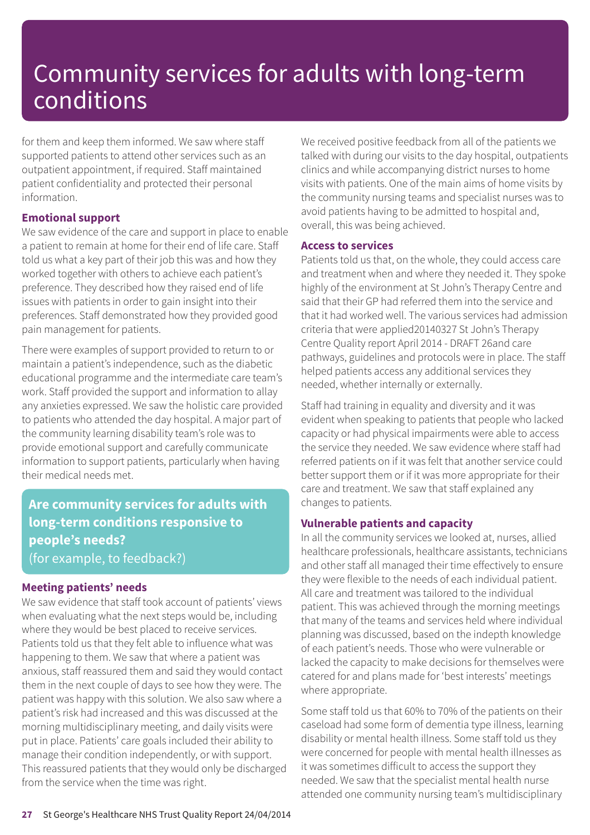for them and keep them informed. We saw where staff supported patients to attend other services such as an outpatient appointment, if required. Staff maintained patient confidentiality and protected their personal information.

#### **Emotional support**

We saw evidence of the care and support in place to enable a patient to remain at home for their end of life care. Staff told us what a key part of their job this was and how they worked together with others to achieve each patient's preference. They described how they raised end of life issues with patients in order to gain insight into their preferences. Staff demonstrated how they provided good pain management for patients.

There were examples of support provided to return to or maintain a patient's independence, such as the diabetic educational programme and the intermediate care team's work. Staff provided the support and information to allay any anxieties expressed. We saw the holistic care provided to patients who attended the day hospital. A major part of the community learning disability team's role was to provide emotional support and carefully communicate information to support patients, particularly when having their medical needs met.

### **Are community services for adults with long-term conditions responsive to people's needs?** (for example, to feedback?)

#### **Meeting patients' needs**

We saw evidence that staff took account of patients' views when evaluating what the next steps would be, including where they would be best placed to receive services. Patients told us that they felt able to influence what was happening to them. We saw that where a patient was anxious, staff reassured them and said they would contact them in the next couple of days to see how they were. The patient was happy with this solution. We also saw where a patient's risk had increased and this was discussed at the morning multidisciplinary meeting, and daily visits were put in place. Patients' care goals included their ability to manage their condition independently, or with support. This reassured patients that they would only be discharged from the service when the time was right.

We received positive feedback from all of the patients we talked with during our visits to the day hospital, outpatients clinics and while accompanying district nurses to home visits with patients. One of the main aims of home visits by the community nursing teams and specialist nurses was to avoid patients having to be admitted to hospital and, overall, this was being achieved.

#### **Access to services**

Patients told us that, on the whole, they could access care and treatment when and where they needed it. They spoke highly of the environment at St John's Therapy Centre and said that their GP had referred them into the service and that it had worked well. The various services had admission criteria that were applied20140327 St John's Therapy Centre Quality report April 2014 - DRAFT 26and care pathways, guidelines and protocols were in place. The staff helped patients access any additional services they needed, whether internally or externally.

Staff had training in equality and diversity and it was evident when speaking to patients that people who lacked capacity or had physical impairments were able to access the service they needed. We saw evidence where staff had referred patients on if it was felt that another service could better support them or if it was more appropriate for their care and treatment. We saw that staff explained any changes to patients.

#### **Vulnerable patients and capacity**

In all the community services we looked at, nurses, allied healthcare professionals, healthcare assistants, technicians and other staff all managed their time effectively to ensure they were flexible to the needs of each individual patient. All care and treatment was tailored to the individual patient. This was achieved through the morning meetings that many of the teams and services held where individual planning was discussed, based on the indepth knowledge of each patient's needs. Those who were vulnerable or lacked the capacity to make decisions for themselves were catered for and plans made for 'best interests' meetings where appropriate.

Some staff told us that 60% to 70% of the patients on their caseload had some form of dementia type illness, learning disability or mental health illness. Some staff told us they were concerned for people with mental health illnesses as it was sometimes difficult to access the support they needed. We saw that the specialist mental health nurse attended one community nursing team's multidisciplinary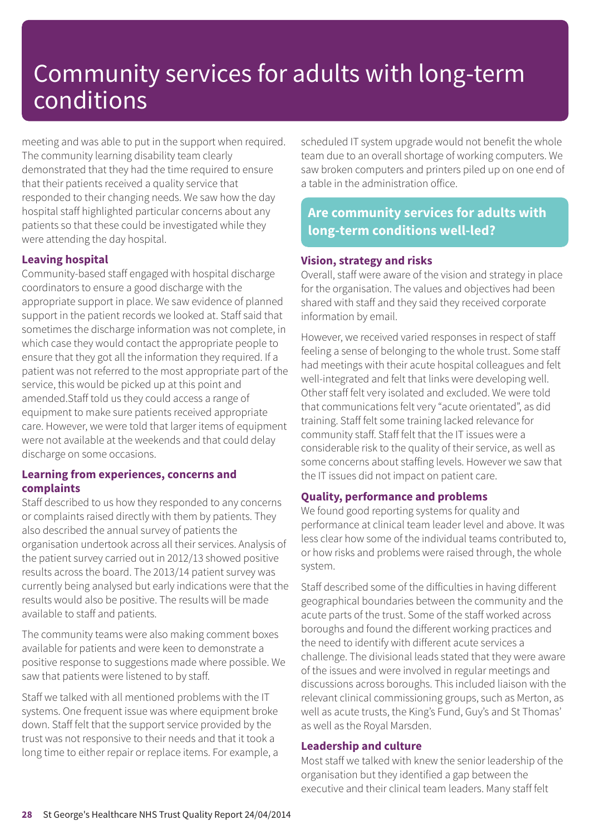meeting and was able to put in the support when required. The community learning disability team clearly demonstrated that they had the time required to ensure that their patients received a quality service that responded to their changing needs. We saw how the day hospital staff highlighted particular concerns about any patients so that these could be investigated while they were attending the day hospital.

#### **Leaving hospital**

Community-based staff engaged with hospital discharge coordinators to ensure a good discharge with the appropriate support in place. We saw evidence of planned support in the patient records we looked at. Staff said that sometimes the discharge information was not complete, in which case they would contact the appropriate people to ensure that they got all the information they required. If a patient was not referred to the most appropriate part of the service, this would be picked up at this point and amended.Staff told us they could access a range of equipment to make sure patients received appropriate care. However, we were told that larger items of equipment were not available at the weekends and that could delay discharge on some occasions.

#### **Learning from experiences, concerns and complaints**

Staff described to us how they responded to any concerns or complaints raised directly with them by patients. They also described the annual survey of patients the organisation undertook across all their services. Analysis of the patient survey carried out in 2012/13 showed positive results across the board. The 2013/14 patient survey was currently being analysed but early indications were that the results would also be positive. The results will be made available to staff and patients.

The community teams were also making comment boxes available for patients and were keen to demonstrate a positive response to suggestions made where possible. We saw that patients were listened to by staff.

Staff we talked with all mentioned problems with the IT systems. One frequent issue was where equipment broke down. Staff felt that the support service provided by the trust was not responsive to their needs and that it took a long time to either repair or replace items. For example, a scheduled IT system upgrade would not benefit the whole team due to an overall shortage of working computers. We saw broken computers and printers piled up on one end of a table in the administration office.

### **Are community services for adults with long-term conditions well-led?**

#### **Vision, strategy and risks**

Overall, staff were aware of the vision and strategy in place for the organisation. The values and objectives had been shared with staff and they said they received corporate information by email.

However, we received varied responses in respect of staff feeling a sense of belonging to the whole trust. Some staff had meetings with their acute hospital colleagues and felt well-integrated and felt that links were developing well. Other staff felt very isolated and excluded. We were told that communications felt very "acute orientated", as did training. Staff felt some training lacked relevance for community staff. Staff felt that the IT issues were a considerable risk to the quality of their service, as well as some concerns about staffing levels. However we saw that the IT issues did not impact on patient care.

#### **Quality, performance and problems**

We found good reporting systems for quality and performance at clinical team leader level and above. It was less clear how some of the individual teams contributed to, or how risks and problems were raised through, the whole system.

Staff described some of the difficulties in having different geographical boundaries between the community and the acute parts of the trust. Some of the staff worked across boroughs and found the different working practices and the need to identify with different acute services a challenge. The divisional leads stated that they were aware of the issues and were involved in regular meetings and discussions across boroughs. This included liaison with the relevant clinical commissioning groups, such as Merton, as well as acute trusts, the King's Fund, Guy's and St Thomas' as well as the Royal Marsden.

#### **Leadership and culture**

Most staff we talked with knew the senior leadership of the organisation but they identified a gap between the executive and their clinical team leaders. Many staff felt